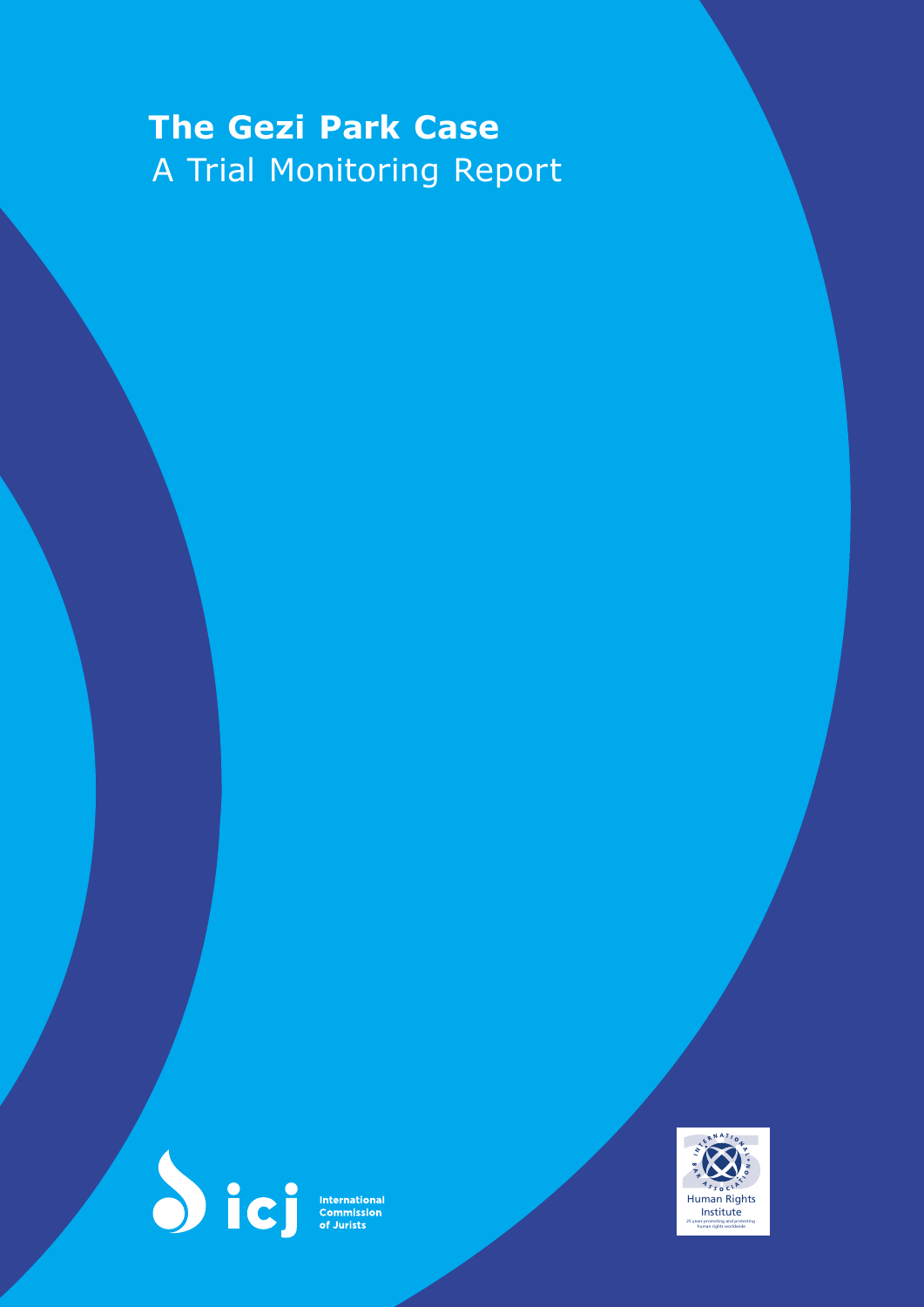## **The Gezi Park Case** A Trial Monitoring Report



International<br>Commission<br>of Jurists

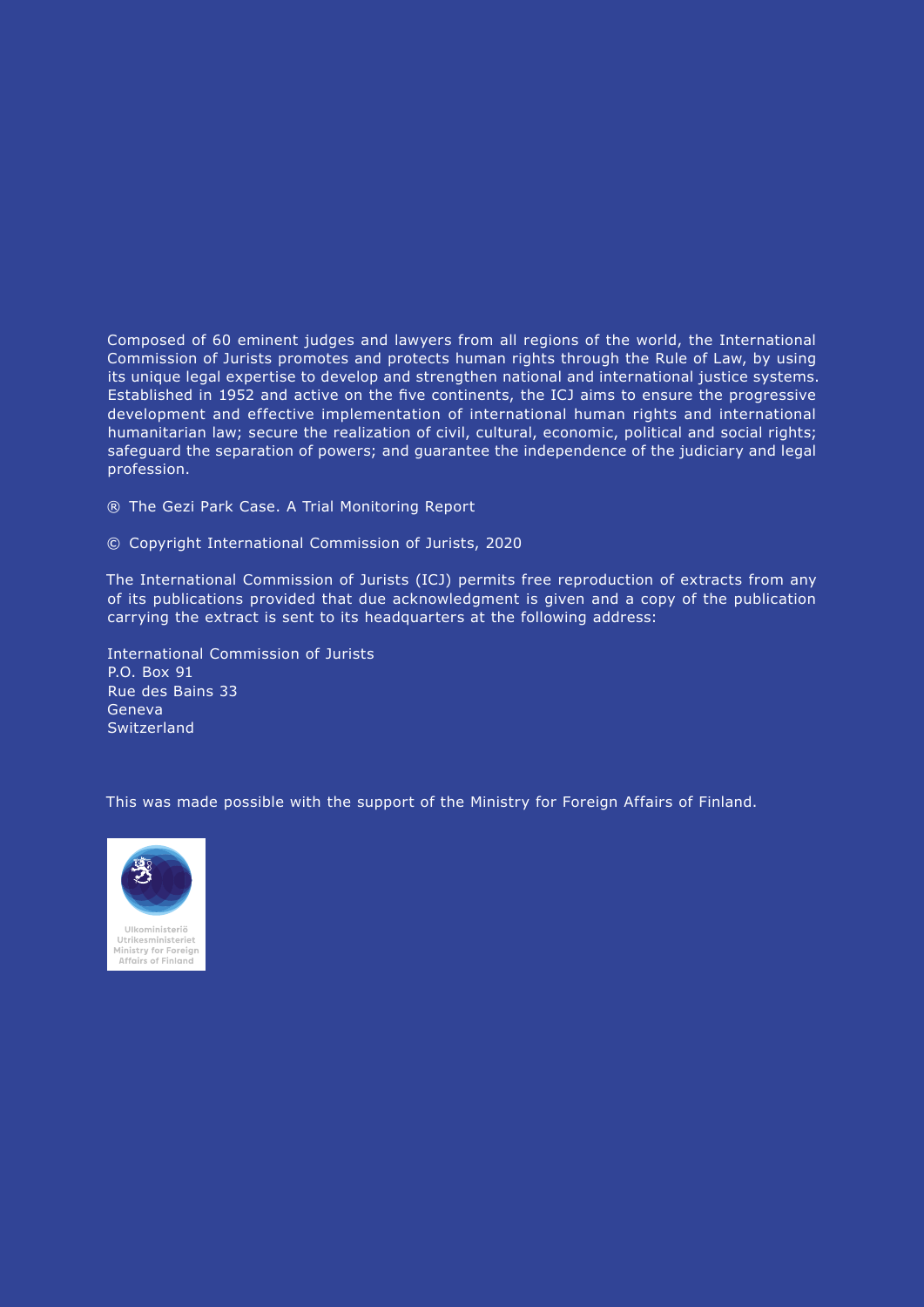Composed of 60 eminent judges and lawyers from all regions of the world, the International Commission of Jurists promotes and protects human rights through the Rule of Law, by using its unique legal expertise to develop and strengthen national and international justice systems. Established in 1952 and active on the five continents, the ICJ aims to ensure the progressive development and effective implementation of international human rights and international humanitarian law; secure the realization of civil, cultural, economic, political and social rights; safeguard the separation of powers; and guarantee the independence of the judiciary and legal profession.

- ® The Gezi Park Case. A Trial Monitoring Report
- © Copyright International Commission of Jurists, 2020

The International Commission of Jurists (ICJ) permits free reproduction of extracts from any of its publications provided that due acknowledgment is given and a copy of the publication carrying the extract is sent to its headquarters at the following address:

International Commission of Jurists P.O. Box 91 Rue des Bains 33 Geneva **Switzerland** 

This was made possible with the support of the Ministry for Foreign Affairs of Finland.

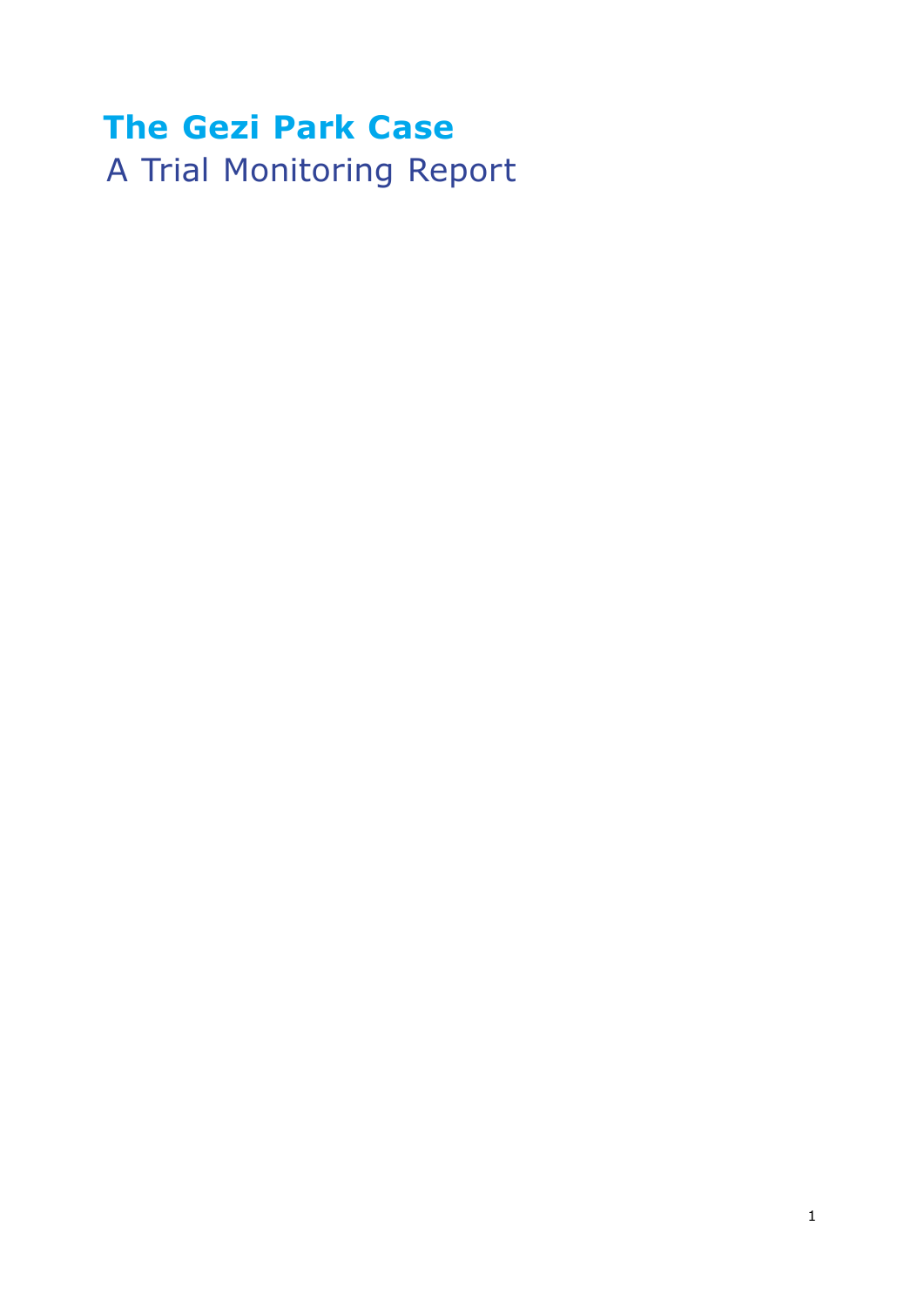# **The Gezi Park Case** A Trial Monitoring Report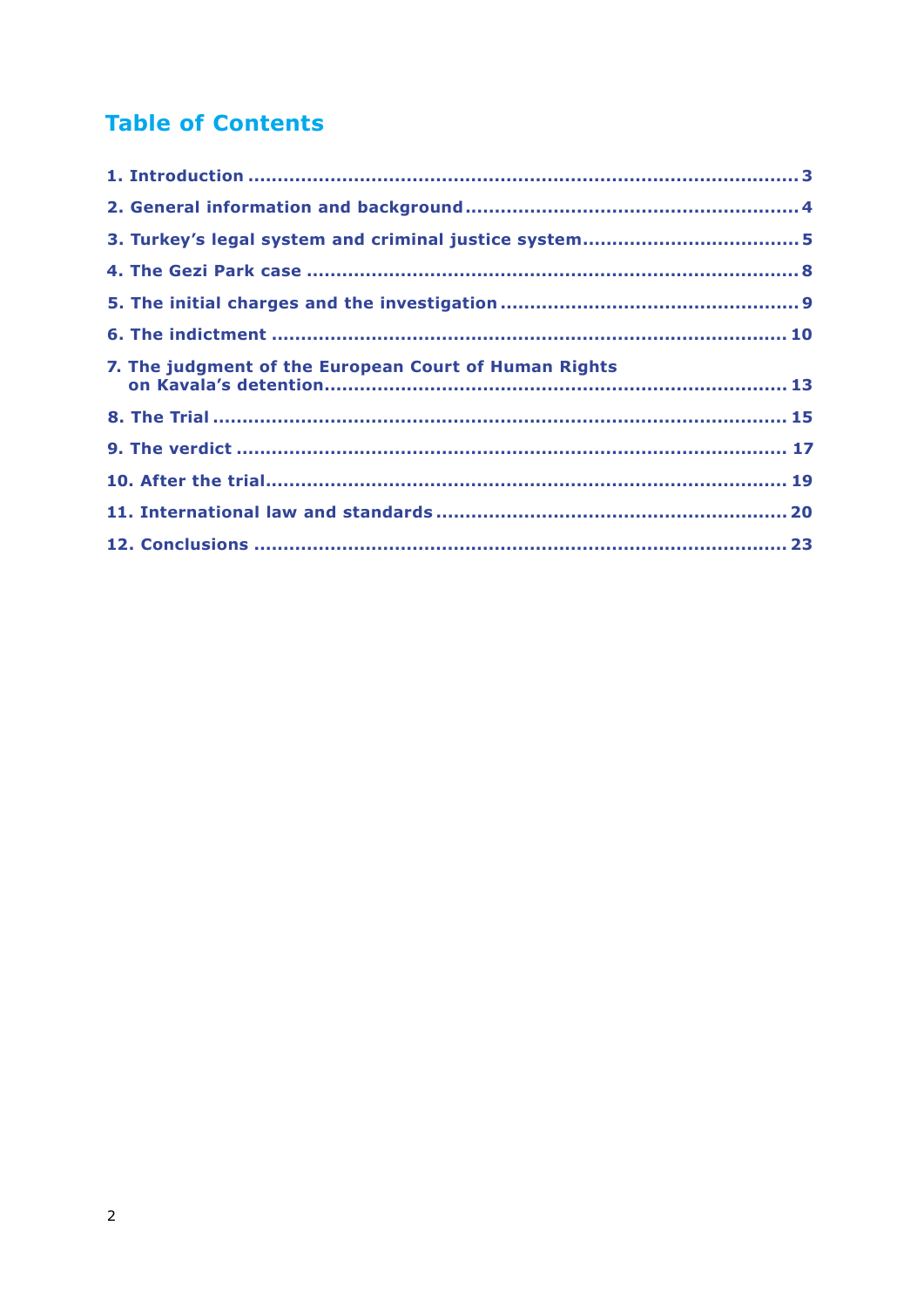## **Table of Contents**

| 7. The judgment of the European Court of Human Rights |  |
|-------------------------------------------------------|--|
|                                                       |  |
|                                                       |  |
|                                                       |  |
|                                                       |  |
|                                                       |  |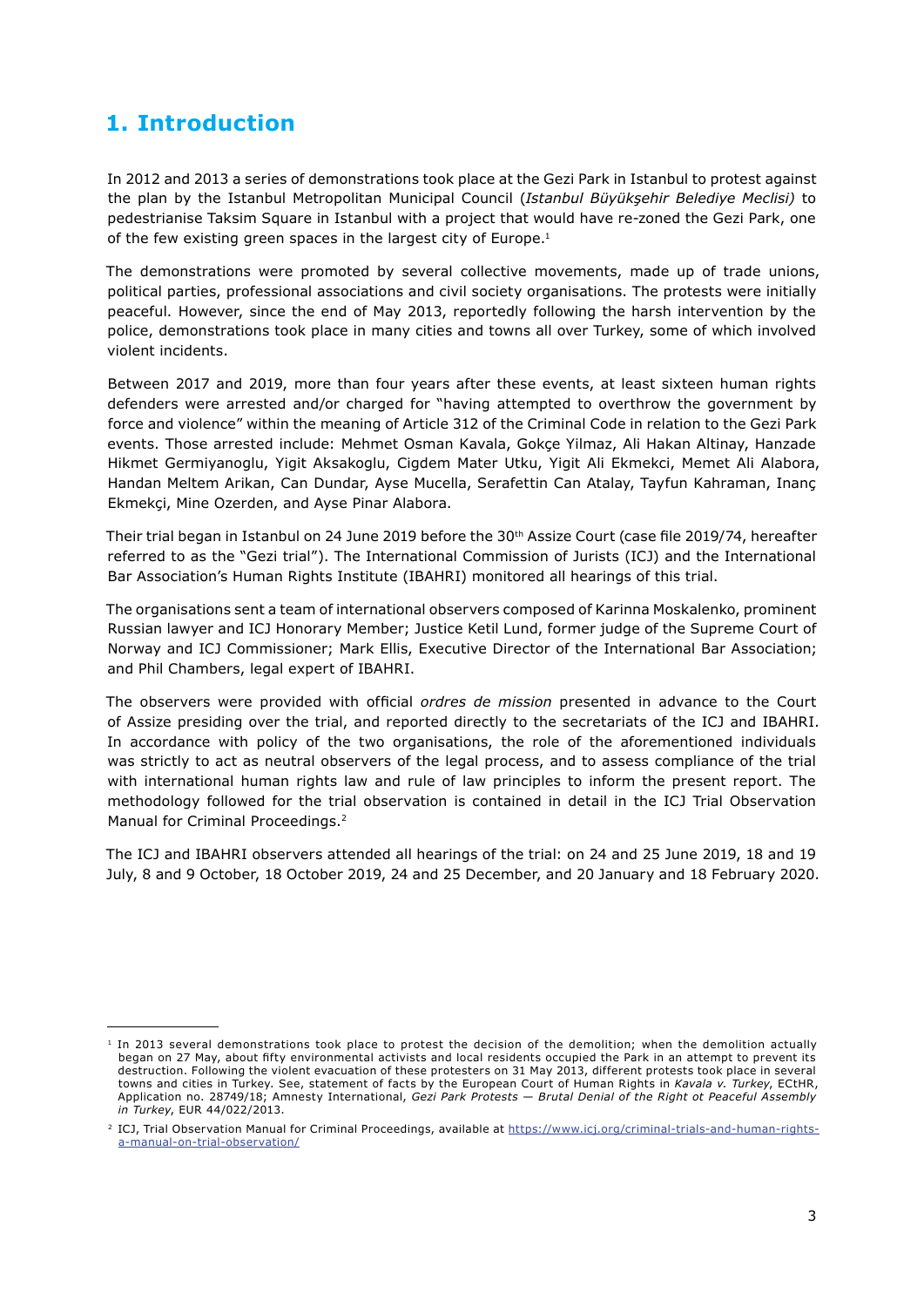### <span id="page-4-0"></span>**1. Introduction**

In 2012 and 2013 a series of demonstrations took place at the Gezi Park in Istanbul to protest against the plan by the Istanbul Metropolitan Municipal Council (*Istanbul Büyükşehir Belediye Meclisi)* to pedestrianise Taksim Square in Istanbul with a project that would have re-zoned the Gezi Park, one of the few existing green spaces in the largest city of Europe.<sup>1</sup>

The demonstrations were promoted by several collective movements, made up of trade unions, political parties, professional associations and civil society organisations. The protests were initially peaceful. However, since the end of May 2013, reportedly following the harsh intervention by the police, demonstrations took place in many cities and towns all over Turkey, some of which involved violent incidents.

Between 2017 and 2019, more than four years after these events, at least sixteen human rights defenders were arrested and/or charged for "having attempted to overthrow the government by force and violence" within the meaning of Article 312 of the Criminal Code in relation to the Gezi Park events. Those arrested include: Mehmet Osman Kavala, Gokçe Yilmaz, Ali Hakan Altinay, Hanzade Hikmet Germiyanoglu, Yigit Aksakoglu, Cigdem Mater Utku, Yigit Ali Ekmekci, Memet Ali Alabora, Handan Meltem Arikan, Can Dundar, Ayse Mucella, Serafettin Can Atalay, Tayfun Kahraman, Inanç Ekmekçi, Mine Ozerden, and Ayse Pinar Alabora.

Their trial began in Istanbul on 24 June 2019 before the 30<sup>th</sup> Assize Court (case file 2019/74, hereafter referred to as the "Gezi trial"). The International Commission of Jurists (ICJ) and the International Bar Association's Human Rights Institute (IBAHRI) monitored all hearings of this trial.

The organisations sent a team of international observers composed of Karinna Moskalenko, prominent Russian lawyer and ICJ Honorary Member; Justice Ketil Lund, former judge of the Supreme Court of Norway and ICJ Commissioner; Mark Ellis, Executive Director of the International Bar Association; and Phil Chambers, legal expert of IBAHRI.

The observers were provided with official *ordres de mission* presented in advance to the Court of Assize presiding over the trial, and reported directly to the secretariats of the ICJ and IBAHRI. In accordance with policy of the two organisations, the role of the aforementioned individuals was strictly to act as neutral observers of the legal process, and to assess compliance of the trial with international human rights law and rule of law principles to inform the present report. The methodology followed for the trial observation is contained in detail in the ICJ Trial Observation Manual for Criminal Proceedings.<sup>2</sup>

The ICJ and IBAHRI observers attended all hearings of the trial: on 24 and 25 June 2019, 18 and 19 July, 8 and 9 October, 18 October 2019, 24 and 25 December, and 20 January and 18 February 2020.

 $1$  In 2013 several demonstrations took place to protest the decision of the demolition; when the demolition actually began on 27 May, about fifty environmental activists and local residents occupied the Park in an attempt to prevent its destruction. Following the violent evacuation of these protesters on 31 May 2013, different protests took place in several towns and cities in Turkey. See, statement of facts by the European Court of Human Rights in *Kavala v. Turkey*, ECtHR, Application no. 28749/18; Amnesty International, *Gezi Park Protests — Brutal Denial of the Right ot Peaceful Assembly in Turkey*, EUR 44/022/2013.

<sup>&</sup>lt;sup>2</sup> ICJ, Trial Observation Manual for Criminal Proceedings, available at [https://www.icj.org/criminal-trials-and-human-rights](https://www.icj.org/criminal-trials-and-human-rights-a-manual-on-trial-observation/)[a-manual-on-trial-observation/](https://www.icj.org/criminal-trials-and-human-rights-a-manual-on-trial-observation/)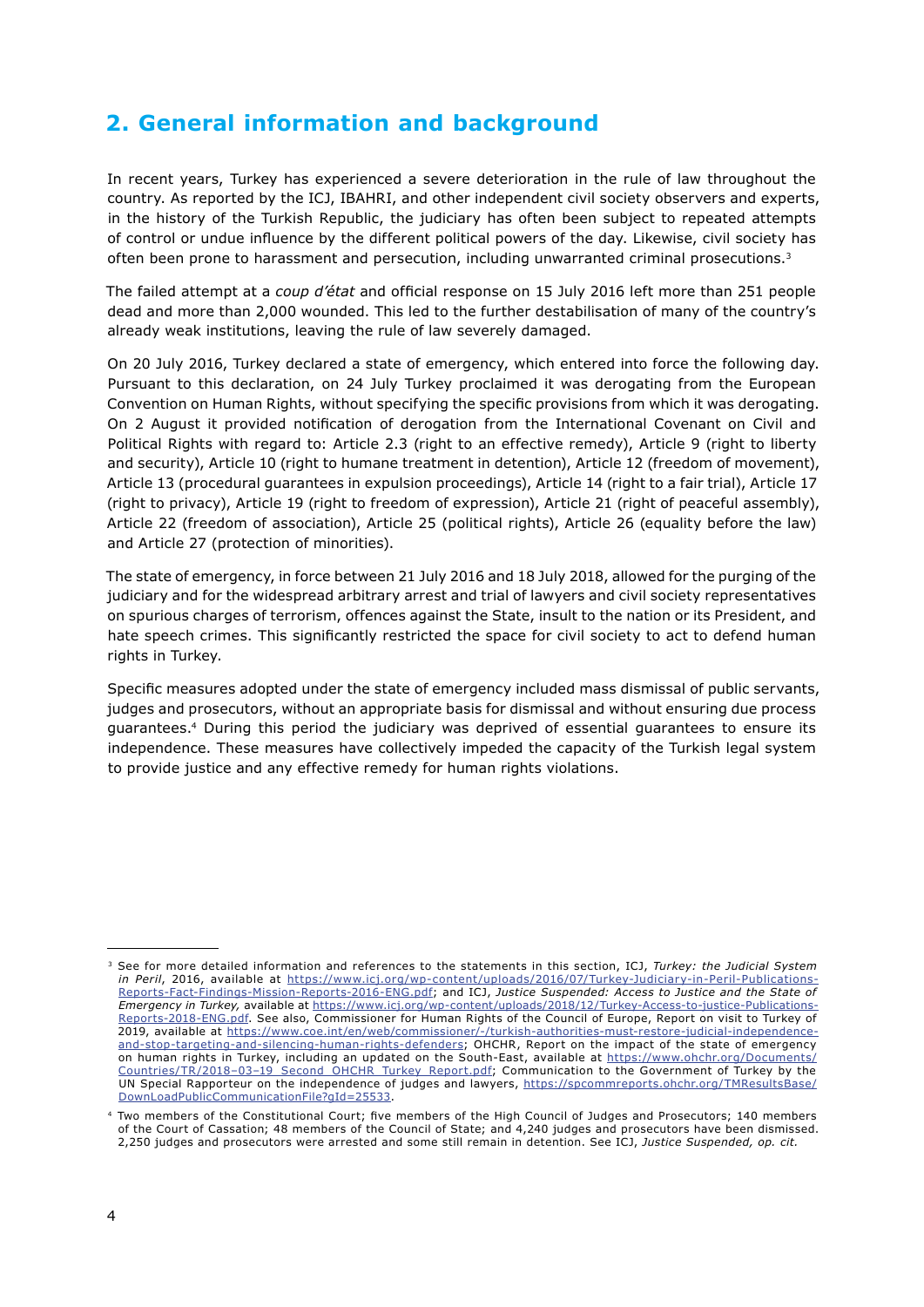### <span id="page-5-0"></span>**2. General information and background**

In recent years, Turkey has experienced a severe deterioration in the rule of law throughout the country. As reported by the ICJ, IBAHRI, and other independent civil society observers and experts, in the history of the Turkish Republic, the judiciary has often been subject to repeated attempts of control or undue influence by the different political powers of the day. Likewise, civil society has often been prone to harassment and persecution, including unwarranted criminal prosecutions.<sup>3</sup>

The failed attempt at a *coup d'état* and official response on 15 July 2016 left more than 251 people dead and more than 2,000 wounded. This led to the further destabilisation of many of the country's already weak institutions, leaving the rule of law severely damaged.

On 20 July 2016, Turkey declared a state of emergency, which entered into force the following day. Pursuant to this declaration, on 24 July Turkey proclaimed it was derogating from the European Convention on Human Rights, without specifying the specific provisions from which it was derogating. On 2 August it provided notification of derogation from the International Covenant on Civil and Political Rights with regard to: Article 2.3 (right to an effective remedy), Article 9 (right to liberty and security), Article 10 (right to humane treatment in detention), Article 12 (freedom of movement), Article 13 (procedural guarantees in expulsion proceedings), Article 14 (right to a fair trial), Article 17 (right to privacy), Article 19 (right to freedom of expression), Article 21 (right of peaceful assembly), Article 22 (freedom of association), Article 25 (political rights), Article 26 (equality before the law) and Article 27 (protection of minorities).

The state of emergency, in force between 21 July 2016 and 18 July 2018, allowed for the purging of the judiciary and for the widespread arbitrary arrest and trial of lawyers and civil society representatives on spurious charges of terrorism, offences against the State, insult to the nation or its President, and hate speech crimes. This significantly restricted the space for civil society to act to defend human rights in Turkey.

Specific measures adopted under the state of emergency included mass dismissal of public servants, judges and prosecutors, without an appropriate basis for dismissal and without ensuring due process guarantees.4 During this period the judiciary was deprived of essential guarantees to ensure its independence. These measures have collectively impeded the capacity of the Turkish legal system to provide justice and any effective remedy for human rights violations.

<sup>3</sup> See for more detailed information and references to the statements in this section, ICJ, *Turkey: the Judicial System in Peril*, 2016, available at [https://www.icj.org/wp-content/uploads/2016/07/Turkey-Judiciary-in-Peril-Publications-](https://www.icj.org/wp-content/uploads/2016/07/Turkey-Judiciary-in-Peril-Publications-Reports-Fact-Findings-Mission-Reports-2016-ENG.pdf)[Reports-Fact-Findings-Mission-Reports-2016-ENG.pdf;](https://www.icj.org/wp-content/uploads/2016/07/Turkey-Judiciary-in-Peril-Publications-Reports-Fact-Findings-Mission-Reports-2016-ENG.pdf) and ICJ, *Justice Suspended: Access to Justice and the State of Emergency in Turkey,* available at [https://www.icj.org/wp-content/uploads/2018/12/Turkey-Access-to-justice-Publications-](https://www.icj.org/wp-content/uploads/2018/12/Turkey-Access-to-justice-Publications-Reports-2018-ENG.pdf)[Reports-2018-ENG.pdf](https://www.icj.org/wp-content/uploads/2018/12/Turkey-Access-to-justice-Publications-Reports-2018-ENG.pdf). See also, Commissioner for Human Rights of the Council of Europe, Report on visit to Turkey of 2019, available at [https://www.coe.int/en/web/commissioner/-/turkish-authorities-must-restore-judicial-independence](https://www.coe.int/en/web/commissioner/-/turkish-authorities-must-restore-judicial-independence-and-stop-targeting-and-silencing-human-rights-defenders)[and-stop-targeting-and-silencing-human-rights-defenders;](https://www.coe.int/en/web/commissioner/-/turkish-authorities-must-restore-judicial-independence-and-stop-targeting-and-silencing-human-rights-defenders) OHCHR, Report on the impact of the state of emergency on human rights in Turkey, including an updated on the South-East, available at <u>[https://www.ohchr.org/Documents/](https://www.ohchr.org/Documents/Countries/TR/2018-03-19_Second_OHCHR_Turkey_Report.pdf)</u> [Countries/TR/2018–03–19\\_Second\\_OHCHR\\_Turkey\\_Report.pdf;](https://www.ohchr.org/Documents/Countries/TR/2018-03-19_Second_OHCHR_Turkey_Report.pdf) Communication to the Government of Turkey by the UN Special Rapporteur on the independence of judges and lawyers, [https://spcommreports.ohchr.org/TMResultsBase/](https://spcommreports.ohchr.org/TMResultsBase/DownLoadPublicCommunicationFile?gId=25533) [DownLoadPublicCommunicationFile?gId=25533.](https://spcommreports.ohchr.org/TMResultsBase/DownLoadPublicCommunicationFile?gId=25533)

<sup>4</sup> Two members of the Constitutional Court; five members of the High Council of Judges and Prosecutors; 140 members of the Court of Cassation; 48 members of the Council of State; and 4,240 judges and prosecutors have been dismissed. 2,250 judges and prosecutors were arrested and some still remain in detention. See ICJ, *Justice Suspended, op. cit.*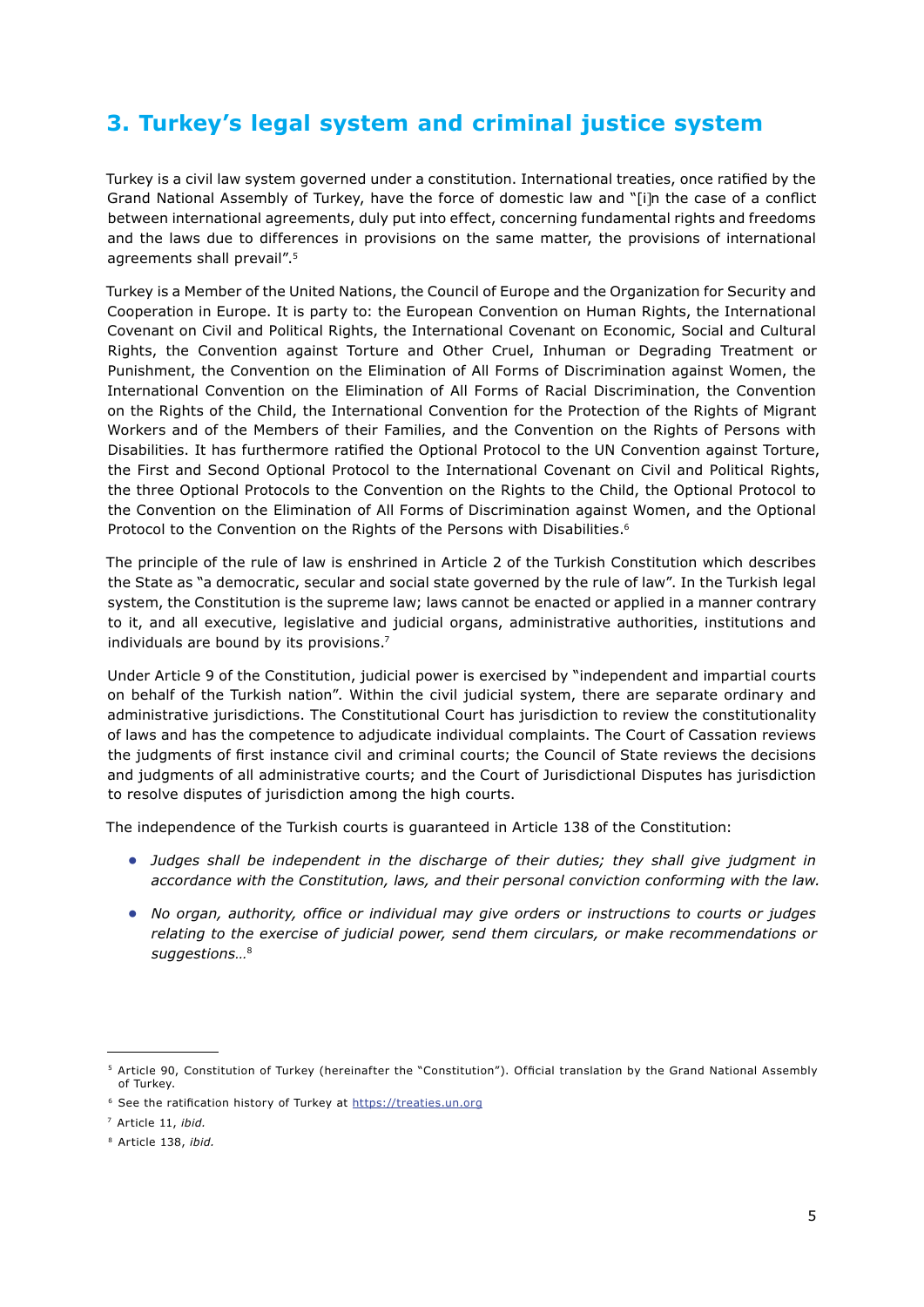### <span id="page-6-0"></span>**3. Turkey's legal system and criminal justice system**

Turkey is a civil law system governed under a constitution. International treaties, once ratified by the Grand National Assembly of Turkey, have the force of domestic law and "[i]n the case of a conflict between international agreements, duly put into effect, concerning fundamental rights and freedoms and the laws due to differences in provisions on the same matter, the provisions of international agreements shall prevail".<sup>5</sup>

Turkey is a Member of the United Nations, the Council of Europe and the Organization for Security and Cooperation in Europe. It is party to: the European Convention on Human Rights, the International Covenant on Civil and Political Rights, the International Covenant on Economic, Social and Cultural Rights, the Convention against Torture and Other Cruel, Inhuman or Degrading Treatment or Punishment, the Convention on the Elimination of All Forms of Discrimination against Women, the International Convention on the Elimination of All Forms of Racial Discrimination, the Convention on the Rights of the Child, the International Convention for the Protection of the Rights of Migrant Workers and of the Members of their Families, and the Convention on the Rights of Persons with Disabilities. It has furthermore ratified the Optional Protocol to the UN Convention against Torture, the First and Second Optional Protocol to the International Covenant on Civil and Political Rights, the three Optional Protocols to the Convention on the Rights to the Child, the Optional Protocol to the Convention on the Elimination of All Forms of Discrimination against Women, and the Optional Protocol to the Convention on the Rights of the Persons with Disabilities.<sup>6</sup>

The principle of the rule of law is enshrined in Article 2 of the Turkish Constitution which describes the State as "a democratic, secular and social state governed by the rule of law". In the Turkish legal system, the Constitution is the supreme law; laws cannot be enacted or applied in a manner contrary to it, and all executive, legislative and judicial organs, administrative authorities, institutions and individuals are bound by its provisions.<sup>7</sup>

Under Article 9 of the Constitution, judicial power is exercised by "independent and impartial courts on behalf of the Turkish nation". Within the civil judicial system, there are separate ordinary and administrative jurisdictions. The Constitutional Court has jurisdiction to review the constitutionality of laws and has the competence to adjudicate individual complaints. The Court of Cassation reviews the judgments of first instance civil and criminal courts; the Council of State reviews the decisions and judgments of all administrative courts; and the Court of Jurisdictional Disputes has jurisdiction to resolve disputes of jurisdiction among the high courts.

The independence of the Turkish courts is guaranteed in Article 138 of the Constitution:

- **•** *Judges shall be independent in the discharge of their duties; they shall give judgment in accordance with the Constitution, laws, and their personal conviction conforming with the law.*
- **•** *No organ, authority, office or individual may give orders or instructions to courts or judges relating to the exercise of judicial power, send them circulars, or make recommendations or suggestions…*8

<sup>5</sup> Article 90, Constitution of Turkey (hereinafter the "Constitution"). Official translation by the Grand National Assembly of Turkey.

<sup>6</sup> See the ratification history of Turkey at <https://treaties.un.org>

<sup>7</sup> Article 11, *ibid.*

<sup>8</sup> Article 138, *ibid.*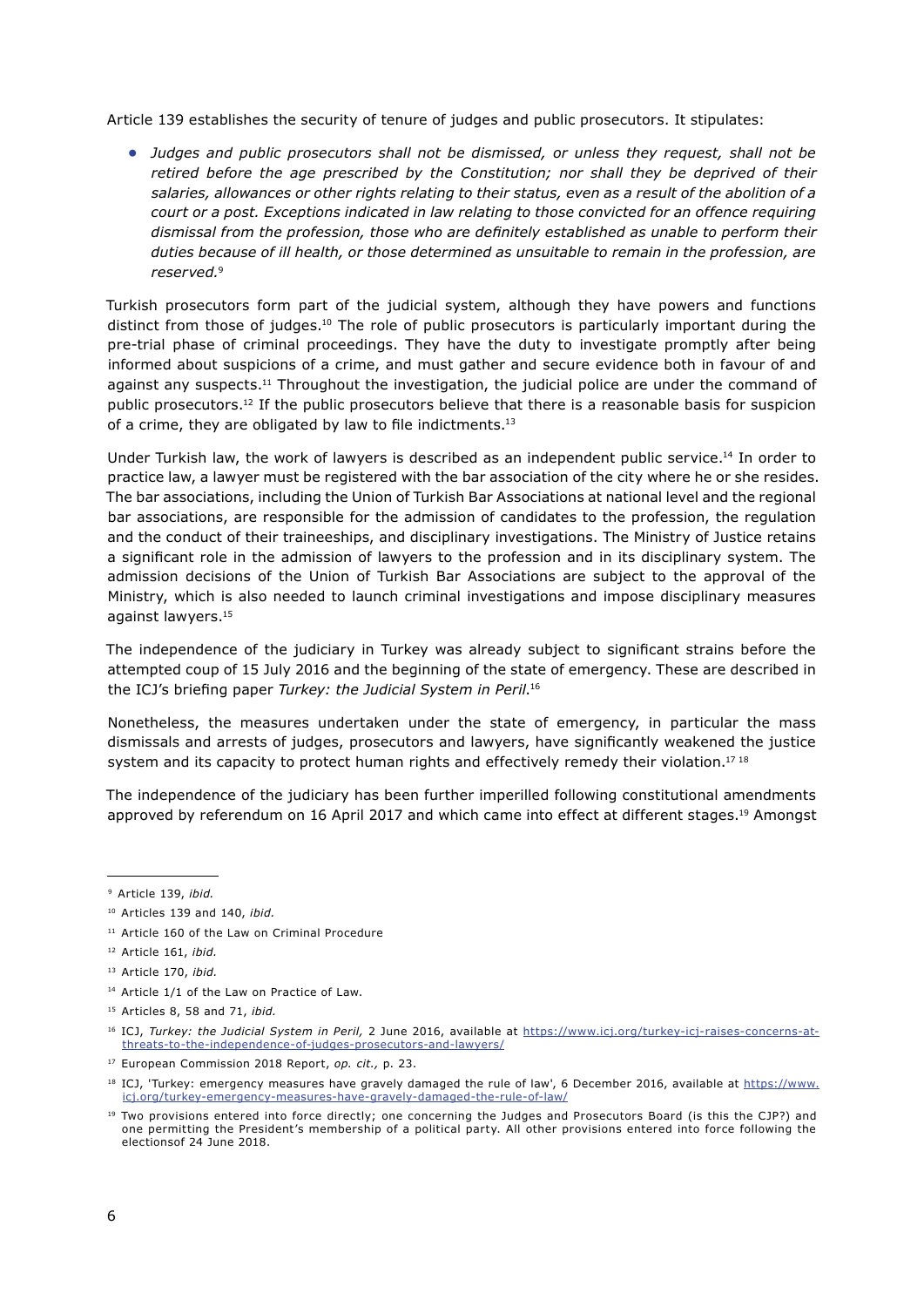Article 139 establishes the security of tenure of judges and public prosecutors. It stipulates:

**•** *Judges and public prosecutors shall not be dismissed, or unless they request, shall not be retired before the age prescribed by the Constitution; nor shall they be deprived of their salaries, allowances or other rights relating to their status, even as a result of the abolition of a court or a post. Exceptions indicated in law relating to those convicted for an offence requiring dismissal from the profession, those who are definitely established as unable to perform their duties because of ill health, or those determined as unsuitable to remain in the profession, are reserved.*<sup>9</sup>

Turkish prosecutors form part of the judicial system, although they have powers and functions distinct from those of judges.<sup>10</sup> The role of public prosecutors is particularly important during the pre-trial phase of criminal proceedings. They have the duty to investigate promptly after being informed about suspicions of a crime, and must gather and secure evidence both in favour of and against any suspects.<sup>11</sup> Throughout the investigation, the judicial police are under the command of public prosecutors.12 If the public prosecutors believe that there is a reasonable basis for suspicion of a crime, they are obligated by law to file indictments.<sup>13</sup>

Under Turkish law, the work of lawyers is described as an independent public service.14 In order to practice law, a lawyer must be registered with the bar association of the city where he or she resides. The bar associations, including the Union of Turkish Bar Associations at national level and the regional bar associations, are responsible for the admission of candidates to the profession, the regulation and the conduct of their traineeships, and disciplinary investigations. The Ministry of Justice retains a significant role in the admission of lawyers to the profession and in its disciplinary system. The admission decisions of the Union of Turkish Bar Associations are subject to the approval of the Ministry, which is also needed to launch criminal investigations and impose disciplinary measures against lawyers.15

The independence of the judiciary in Turkey was already subject to significant strains before the attempted coup of 15 July 2016 and the beginning of the state of emergency. These are described in the ICJ's briefing paper *Turkey: the Judicial System in Peril*. 16

Nonetheless, the measures undertaken under the state of emergency, in particular the mass dismissals and arrests of judges, prosecutors and lawyers, have significantly weakened the justice system and its capacity to protect human rights and effectively remedy their violation.<sup>1718</sup>

The independence of the judiciary has been further imperilled following constitutional amendments approved by referendum on 16 April 2017 and which came into effect at different stages.<sup>19</sup> Amongst

<sup>9</sup> Article 139, *ibid.*

<sup>10</sup> Articles 139 and 140, *ibid.*

<sup>&</sup>lt;sup>11</sup> Article 160 of the Law on Criminal Procedure

<sup>12</sup> Article 161, *ibid.*

<sup>13</sup> Article 170, *ibid.*

<sup>&</sup>lt;sup>14</sup> Article 1/1 of the Law on Practice of Law.

<sup>15</sup> Articles 8, 58 and 71, *ibid.*

<sup>16</sup> ICJ, *Turkey: the Judicial System in Peril,* 2 June 2016, available at [https://www.icj.org/turkey-icj-raises-concerns-at](https://www.icj.org/turkey-icj-raises-concerns-at-threats-to-the-independence-of-judges-prosecutors-and-lawyers/)[threats-to-the-independence-of-judges-prosecutors-and-lawyers/](https://www.icj.org/turkey-icj-raises-concerns-at-threats-to-the-independence-of-judges-prosecutors-and-lawyers/)

<sup>17</sup> European Commission 2018 Report, *op. cit.,* p. 23.

<sup>&</sup>lt;sup>18</sup> ICJ, 'Turkey: emergency measures have gravely damaged the rule of law', 6 December 2016, available at [https://www.](https://www.icj.org/turkey-emergency-measures-have-gravely-damaged-the-rule-of-law/) [icj.org/turkey-emergency-measures-have-gravely-damaged-the-rule-of-law/](https://www.icj.org/turkey-emergency-measures-have-gravely-damaged-the-rule-of-law/)

<sup>&</sup>lt;sup>19</sup> Two provisions entered into force directly; one concerning the Judges and Prosecutors Board (is this the CJP?) and one permitting the President's membership of a political party. All other provisions entered into force following the electionsof 24 June 2018.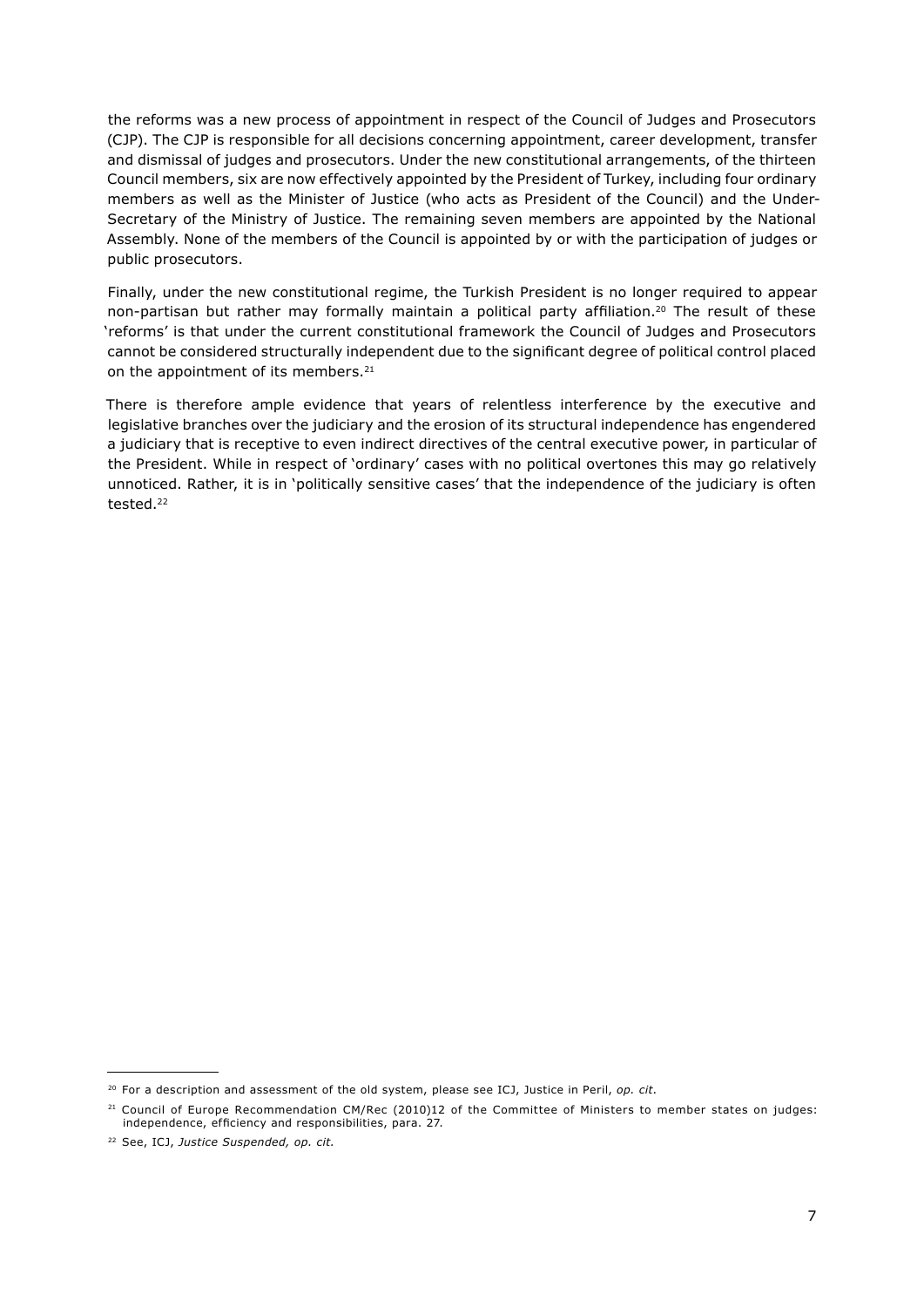the reforms was a new process of appointment in respect of the Council of Judges and Prosecutors (CJP). The CJP is responsible for all decisions concerning appointment, career development, transfer and dismissal of judges and prosecutors. Under the new constitutional arrangements, of the thirteen Council members, six are now effectively appointed by the President of Turkey, including four ordinary members as well as the Minister of Justice (who acts as President of the Council) and the Under-Secretary of the Ministry of Justice. The remaining seven members are appointed by the National Assembly. None of the members of the Council is appointed by or with the participation of judges or public prosecutors.

Finally, under the new constitutional regime, the Turkish President is no longer required to appear non-partisan but rather may formally maintain a political party affiliation.<sup>20</sup> The result of these 'reforms' is that under the current constitutional framework the Council of Judges and Prosecutors cannot be considered structurally independent due to the significant degree of political control placed on the appointment of its members.<sup>21</sup>

There is therefore ample evidence that years of relentless interference by the executive and legislative branches over the judiciary and the erosion of its structural independence has engendered a judiciary that is receptive to even indirect directives of the central executive power, in particular of the President. While in respect of 'ordinary' cases with no political overtones this may go relatively unnoticed. Rather, it is in 'politically sensitive cases' that the independence of the judiciary is often tested.22

<sup>20</sup> For a description and assessment of the old system, please see ICJ, Justice in Peril, *op. cit*.

<sup>21</sup> Council of Europe Recommendation CM/Rec (2010)12 of the Committee of Ministers to member states on judges: independence, efficiency and responsibilities, para. 27.

<sup>22</sup> See, ICJ, *Justice Suspended, op. cit.*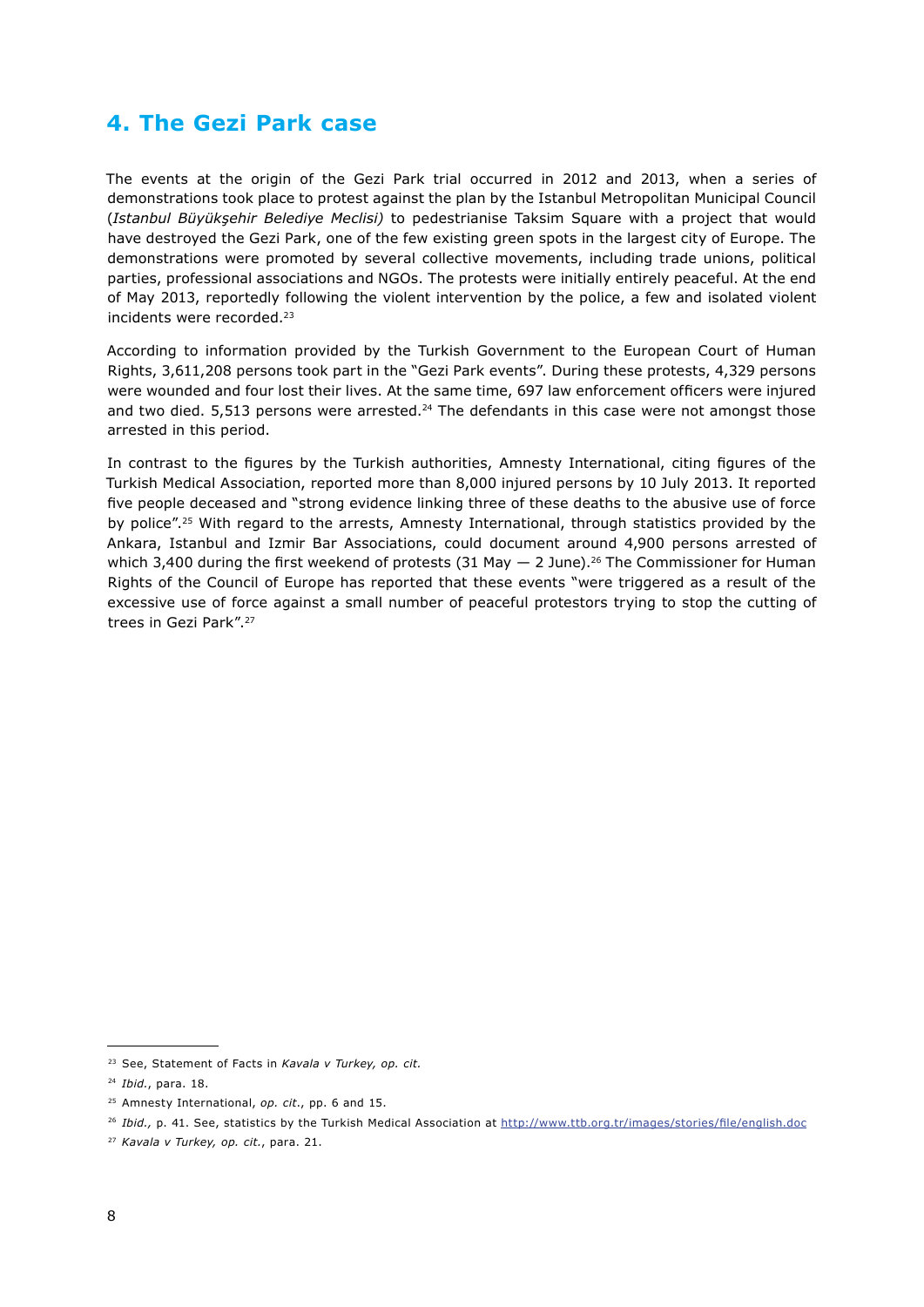### <span id="page-9-0"></span>**4. The Gezi Park case**

The events at the origin of the Gezi Park trial occurred in 2012 and 2013, when a series of demonstrations took place to protest against the plan by the Istanbul Metropolitan Municipal Council (*Istanbul Büyükşehir Belediye Meclisi)* to pedestrianise Taksim Square with a project that would have destroyed the Gezi Park, one of the few existing green spots in the largest city of Europe. The demonstrations were promoted by several collective movements, including trade unions, political parties, professional associations and NGOs. The protests were initially entirely peaceful. At the end of May 2013, reportedly following the violent intervention by the police, a few and isolated violent incidents were recorded.<sup>23</sup>

According to information provided by the Turkish Government to the European Court of Human Rights, 3,611,208 persons took part in the "Gezi Park events". During these protests, 4,329 persons were wounded and four lost their lives. At the same time, 697 law enforcement officers were injured and two died.  $5,513$  persons were arrested.<sup>24</sup> The defendants in this case were not amongst those arrested in this period.

In contrast to the figures by the Turkish authorities, Amnesty International, citing figures of the Turkish Medical Association, reported more than 8,000 injured persons by 10 July 2013. It reported five people deceased and "strong evidence linking three of these deaths to the abusive use of force by police".25 With regard to the arrests, Amnesty International, through statistics provided by the Ankara, Istanbul and Izmir Bar Associations, could document around 4,900 persons arrested of which 3,400 during the first weekend of protests (31 May  $-$  2 June).<sup>26</sup> The Commissioner for Human Rights of the Council of Europe has reported that these events "were triggered as a result of the excessive use of force against a small number of peaceful protestors trying to stop the cutting of trees in Gezi Park".27

<sup>23</sup> See, Statement of Facts in *Kavala v Turkey, op. cit.*

<sup>24</sup> *Ibid.*, para. 18.

<sup>25</sup> Amnesty International, *op. cit*., pp. 6 and 15.

<sup>26</sup> *Ibid.,* p. 41. See, statistics by the Turkish Medical Association at <http://www.ttb.org.tr/images/stories/file/english.doc>

<sup>27</sup> *Kavala v Turkey, op. cit.*, para. 21.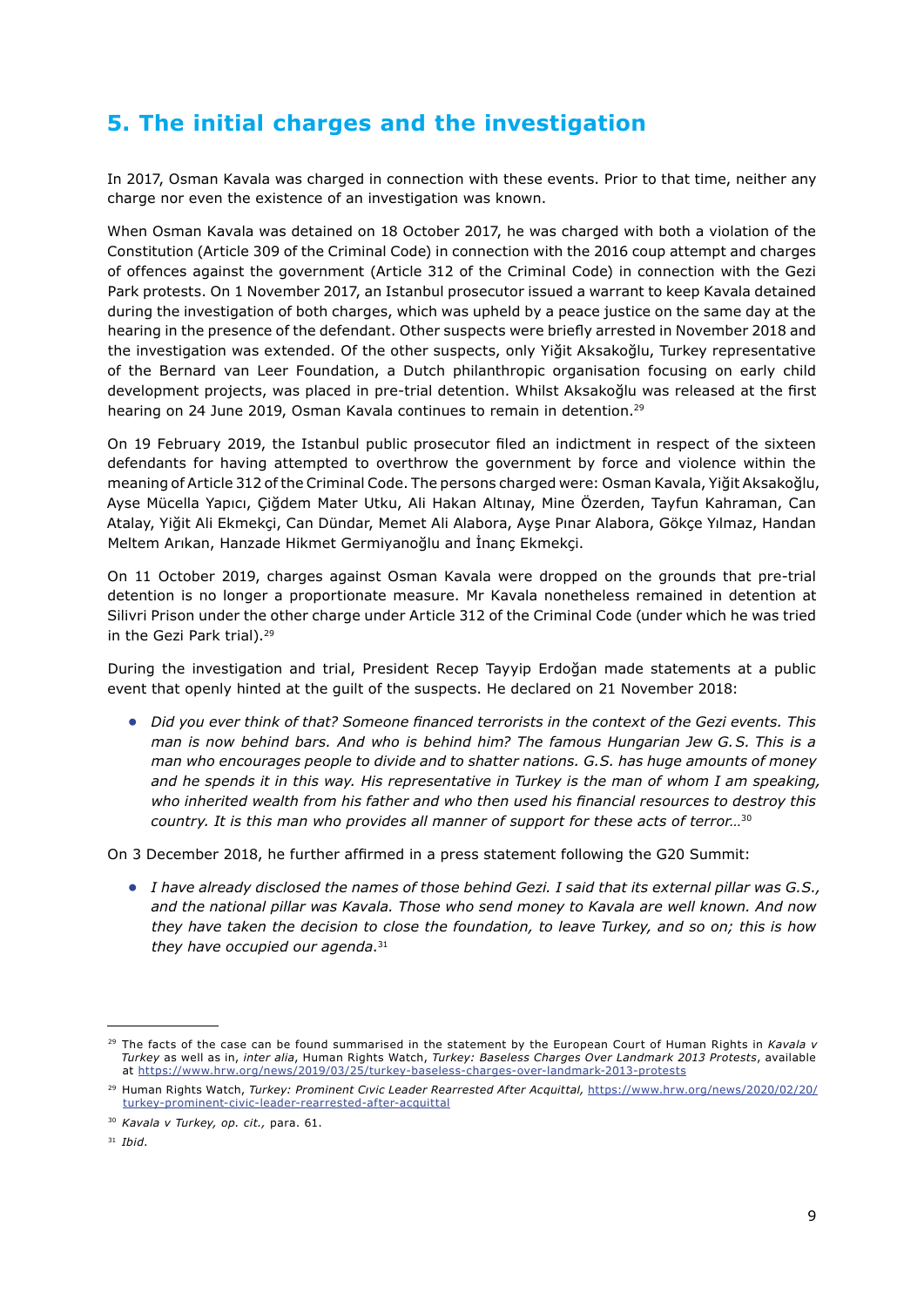### <span id="page-10-0"></span>**5. The initial charges and the investigation**

In 2017, Osman Kavala was charged in connection with these events. Prior to that time, neither any charge nor even the existence of an investigation was known.

When Osman Kavala was detained on 18 October 2017, he was charged with both a violation of the Constitution (Article 309 of the Criminal Code) in connection with the 2016 coup attempt and charges of offences against the government (Article 312 of the Criminal Code) in connection with the Gezi Park protests. On 1 November 2017, an Istanbul prosecutor issued a warrant to keep Kavala detained during the investigation of both charges, which was upheld by a peace justice on the same day at the hearing in the presence of the defendant. Other suspects were briefly arrested in November 2018 and the investigation was extended. Of the other suspects, only Yiğit Aksakoğlu, Turkey representative of the Bernard van Leer Foundation, a Dutch philanthropic organisation focusing on early child development projects, was placed in pre-trial detention. Whilst Aksakoğlu was released at the first hearing on 24 June 2019, Osman Kavala continues to remain in detention.<sup>29</sup>

On 19 February 2019, the Istanbul public prosecutor filed an indictment in respect of the sixteen defendants for having attempted to overthrow the government by force and violence within the meaning of Article 312 of the Criminal Code. The persons charged were: Osman Kavala, Yiğit Aksakoğlu, Ayse Mücella Yapıcı, Çiğdem Mater Utku, Ali Hakan Altınay, Mine Özerden, Tayfun Kahraman, Can Atalay, Yiğit Ali Ekmekçi, Can Dündar, Memet Ali Alabora, Ayşe Pınar Alabora, Gökçe Yılmaz, Handan Meltem Arıkan, Hanzade Hikmet Germiyanoğlu and İnanç Ekmekçi.

On 11 October 2019, charges against Osman Kavala were dropped on the grounds that pre-trial detention is no longer a proportionate measure. Mr Kavala nonetheless remained in detention at Silivri Prison under the other charge under Article 312 of the Criminal Code (under which he was tried in the Gezi Park trial).<sup>29</sup>

During the investigation and trial, President Recep Tayyip Erdoğan made statements at a public event that openly hinted at the guilt of the suspects. He declared on 21 November 2018:

**•** *Did you ever think of that? Someone financed terrorists in the context of the Gezi events. This man is now behind bars. And who is behind him? The famous Hungarian Jew G.S. This is a man who encourages people to divide and to shatter nations. G.S. has huge amounts of money and he spends it in this way. His representative in Turkey is the man of whom I am speaking, who inherited wealth from his father and who then used his financial resources to destroy this country. It is this man who provides all manner of support for these acts of terror…*<sup>30</sup>

On 3 December 2018, he further affirmed in a press statement following the G20 Summit:

**•** *I have already disclosed the names of those behind Gezi. I said that its external pillar was G.S., and the national pillar was Kavala. Those who send money to Kavala are well known. And now they have taken the decision to close the foundation, to leave Turkey, and so on; this is how they have occupied our agenda*.31

<sup>29</sup> The facts of the case can be found summarised in the statement by the European Court of Human Rights in *Kavala v Turkey* as well as in, *inter alia*, Human Rights Watch, *Turkey: Baseless Charges Over Landmark 2013 Protests*, available at <https://www.hrw.org/news/2019/03/25/turkey-baseless-charges-over-landmark-2013-protests>

<sup>29</sup> Human Rights Watch, *Turkey: Prominent Cıvic Leader Rearrested After Acquittal,* [https://www.hrw.org/news/2020/02/20/](https://www.hrw.org/news/2020/02/20/turkey-prominent-civic-leader-rearrested-after-acquittal) [turkey-prominent-civic-leader-rearrested-after-acquittal](https://www.hrw.org/news/2020/02/20/turkey-prominent-civic-leader-rearrested-after-acquittal)

<sup>30</sup> *Kavala v Turkey, op. cit.,* para. 61.

<sup>31</sup> *Ibid*.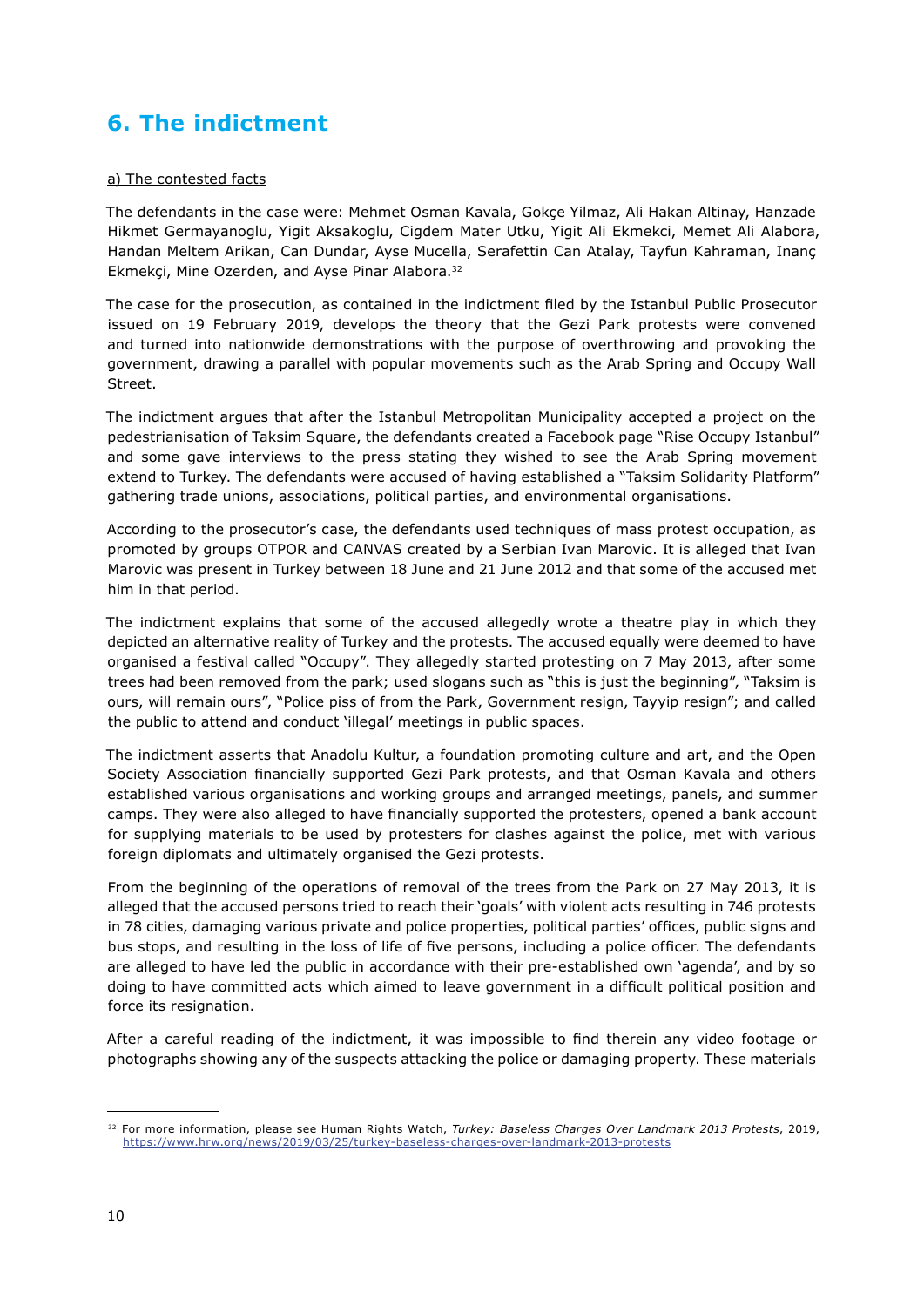### <span id="page-11-0"></span>**6. The indictment**

#### a) The contested facts

The defendants in the case were: Mehmet Osman Kavala, Gokçe Yilmaz, Ali Hakan Altinay, Hanzade Hikmet Germayanoglu, Yigit Aksakoglu, Cigdem Mater Utku, Yigit Ali Ekmekci, Memet Ali Alabora, Handan Meltem Arikan, Can Dundar, Ayse Mucella, Serafettin Can Atalay, Tayfun Kahraman, Inanç Ekmekçi, Mine Ozerden, and Ayse Pinar Alabora.32

The case for the prosecution, as contained in the indictment filed by the Istanbul Public Prosecutor issued on 19 February 2019, develops the theory that the Gezi Park protests were convened and turned into nationwide demonstrations with the purpose of overthrowing and provoking the government, drawing a parallel with popular movements such as the Arab Spring and Occupy Wall Street.

The indictment argues that after the Istanbul Metropolitan Municipality accepted a project on the pedestrianisation of Taksim Square, the defendants created a Facebook page "Rise Occupy Istanbul" and some gave interviews to the press stating they wished to see the Arab Spring movement extend to Turkey. The defendants were accused of having established a "Taksim Solidarity Platform" gathering trade unions, associations, political parties, and environmental organisations.

According to the prosecutor's case, the defendants used techniques of mass protest occupation, as promoted by groups OTPOR and CANVAS created by a Serbian Ivan Marovic. It is alleged that Ivan Marovic was present in Turkey between 18 June and 21 June 2012 and that some of the accused met him in that period.

The indictment explains that some of the accused allegedly wrote a theatre play in which they depicted an alternative reality of Turkey and the protests. The accused equally were deemed to have organised a festival called "Occupy". They allegedly started protesting on 7 May 2013, after some trees had been removed from the park; used slogans such as "this is just the beginning", "Taksim is ours, will remain ours", "Police piss of from the Park, Government resign, Tayyip resign"; and called the public to attend and conduct 'illegal' meetings in public spaces.

The indictment asserts that Anadolu Kultur, a foundation promoting culture and art, and the Open Society Association financially supported Gezi Park protests, and that Osman Kavala and others established various organisations and working groups and arranged meetings, panels, and summer camps. They were also alleged to have financially supported the protesters, opened a bank account for supplying materials to be used by protesters for clashes against the police, met with various foreign diplomats and ultimately organised the Gezi protests.

From the beginning of the operations of removal of the trees from the Park on 27 May 2013, it is alleged that the accused persons tried to reach their 'goals' with violent acts resulting in 746 protests in 78 cities, damaging various private and police properties, political parties' offices, public signs and bus stops, and resulting in the loss of life of five persons, including a police officer. The defendants are alleged to have led the public in accordance with their pre-established own 'agenda', and by so doing to have committed acts which aimed to leave government in a difficult political position and force its resignation.

After a careful reading of the indictment, it was impossible to find therein any video footage or photographs showing any of the suspects attacking the police or damaging property. These materials

<sup>32</sup> For more information, please see Human Rights Watch, *Turkey: Baseless Charges Over Landmark 2013 Protests*, 2019, <https://www.hrw.org/news/2019/03/25/turkey-baseless-charges-over-landmark-2013-protests>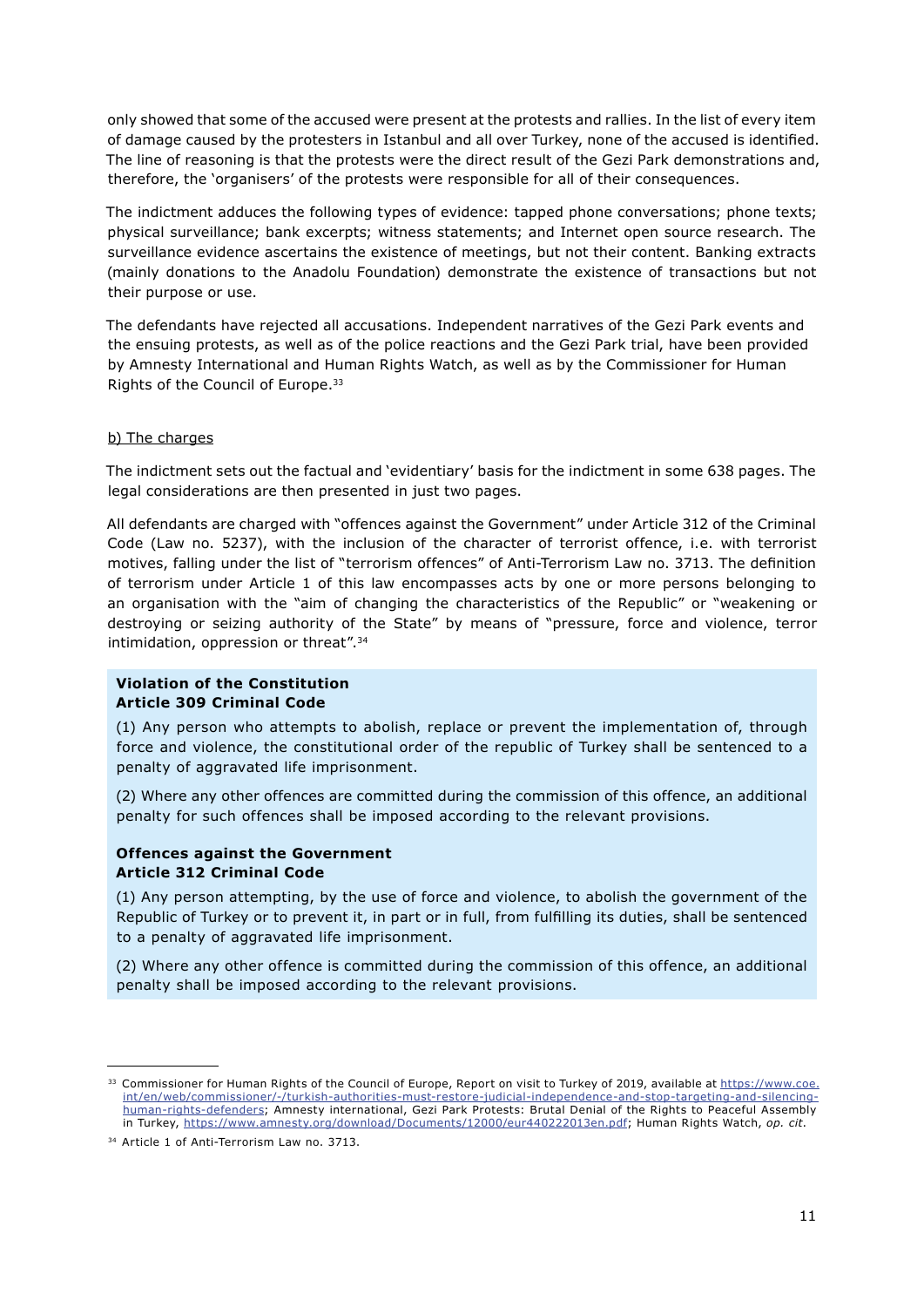only showed that some of the accused were present at the protests and rallies. In the list of every item of damage caused by the protesters in Istanbul and all over Turkey, none of the accused is identified. The line of reasoning is that the protests were the direct result of the Gezi Park demonstrations and, therefore, the 'organisers' of the protests were responsible for all of their consequences.

The indictment adduces the following types of evidence: tapped phone conversations; phone texts; physical surveillance; bank excerpts; witness statements; and Internet open source research. The surveillance evidence ascertains the existence of meetings, but not their content. Banking extracts (mainly donations to the Anadolu Foundation) demonstrate the existence of transactions but not their purpose or use.

The defendants have rejected all accusations. Independent narratives of the Gezi Park events and the ensuing protests, as well as of the police reactions and the Gezi Park trial, have been provided by Amnesty International and Human Rights Watch, as well as by the Commissioner for Human Rights of the Council of Europe.33

### b) The charges

The indictment sets out the factual and 'evidentiary' basis for the indictment in some 638 pages. The legal considerations are then presented in just two pages.

All defendants are charged with "offences against the Government" under Article 312 of the Criminal Code (Law no. 5237), with the inclusion of the character of terrorist offence, i.e. with terrorist motives, falling under the list of "terrorism offences" of Anti-Terrorism Law no. 3713. The definition of terrorism under Article 1 of this law encompasses acts by one or more persons belonging to an organisation with the "aim of changing the characteristics of the Republic" or "weakening or destroying or seizing authority of the State" by means of "pressure, force and violence, terror intimidation, oppression or threat".<sup>34</sup>

### **Violation of the Constitution Article 309 Criminal Code**

(1) Any person who attempts to abolish, replace or prevent the implementation of, through force and violence, the constitutional order of the republic of Turkey shall be sentenced to a penalty of aggravated life imprisonment.

(2) Where any other offences are committed during the commission of this offence, an additional penalty for such offences shall be imposed according to the relevant provisions.

### **Offences against the Government Article 312 Criminal Code**

(1) Any person attempting, by the use of force and violence, to abolish the government of the Republic of Turkey or to prevent it, in part or in full, from fulfilling its duties, shall be sentenced to a penalty of aggravated life imprisonment.

(2) Where any other offence is committed during the commission of this offence, an additional penalty shall be imposed according to the relevant provisions.

<sup>33</sup> Commissioner for Human Rights of the Council of Europe, Report on visit to Turkey of 2019, available at [https://www.coe.](https://www.coe.int/en/web/commissioner/-/turkish-authorities-must-restore-judicial-independence-and-stop-targeting-and-silencing-human-rights-defenders) [int/en/web/commissioner/-/turkish-authorities-must-restore-judicial-independence-and-stop-targeting-and-silencing](https://www.coe.int/en/web/commissioner/-/turkish-authorities-must-restore-judicial-independence-and-stop-targeting-and-silencing-human-rights-defenders)[human-rights-defenders](https://www.coe.int/en/web/commissioner/-/turkish-authorities-must-restore-judicial-independence-and-stop-targeting-and-silencing-human-rights-defenders); Amnesty international, Gezi Park Protests: Brutal Denial of the Rights to Peaceful Assembly in Turkey,<https://www.amnesty.org/download/Documents/12000/eur440222013en.pdf>; Human Rights Watch, *op. cit*.

<sup>&</sup>lt;sup>34</sup> Article 1 of Anti-Terrorism Law no. 3713.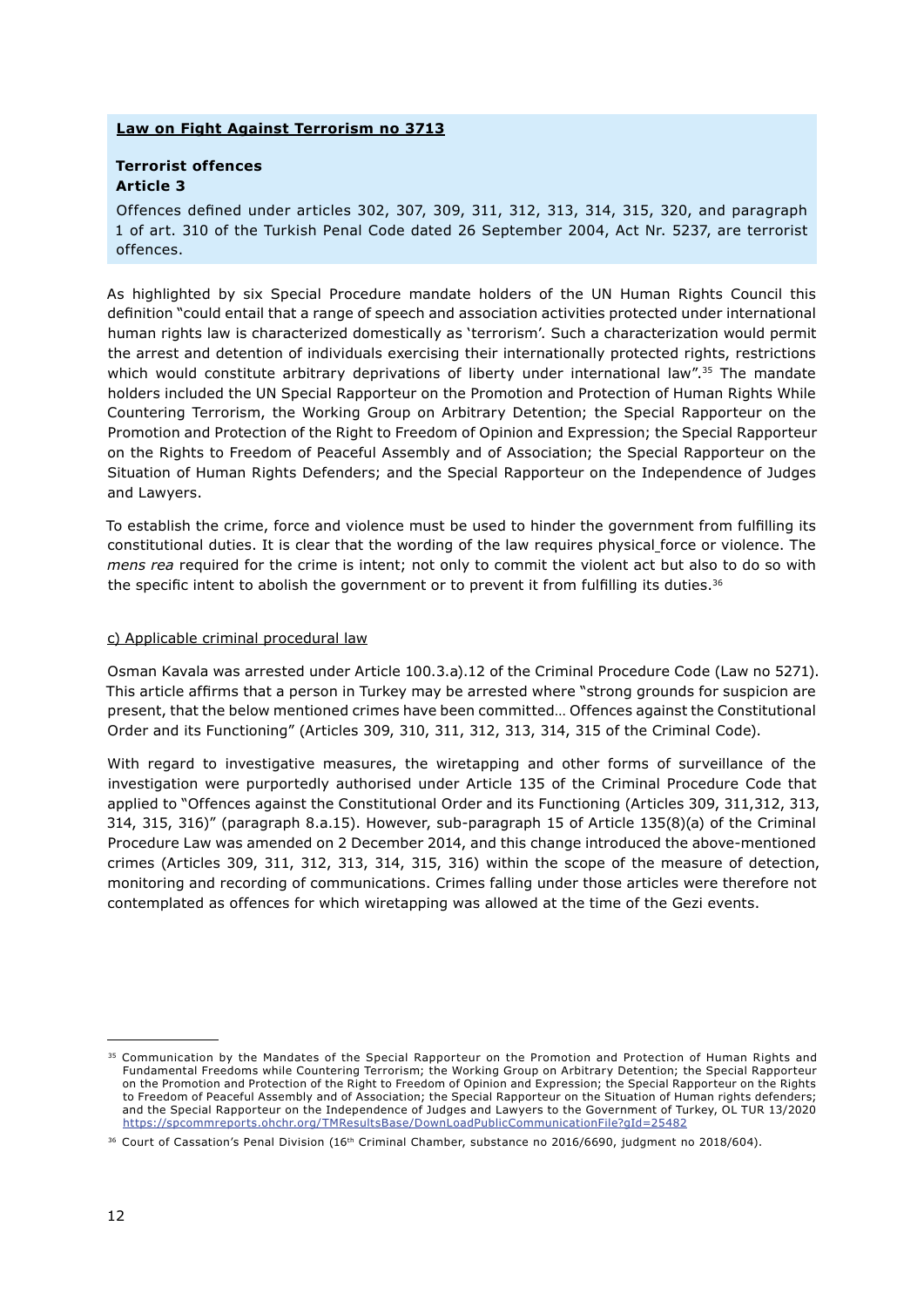### **Law on Fight Against Terrorism no 3713**

#### **Terrorist offences Article 3**

Offences defined under articles 302, 307, 309, 311, 312, 313, 314, 315, 320, and paragraph 1 of art. 310 of the Turkish Penal Code dated 26 September 2004, Act Nr. 5237, are terrorist offences.

As highlighted by six Special Procedure mandate holders of the UN Human Rights Council this definition "could entail that a range of speech and association activities protected under international human rights law is characterized domestically as 'terrorism'. Such a characterization would permit the arrest and detention of individuals exercising their internationally protected rights, restrictions which would constitute arbitrary deprivations of liberty under international law".<sup>35</sup> The mandate holders included the UN Special Rapporteur on the Promotion and Protection of Human Rights While Countering Terrorism, the Working Group on Arbitrary Detention; the Special Rapporteur on the Promotion and Protection of the Right to Freedom of Opinion and Expression; the Special Rapporteur on the Rights to Freedom of Peaceful Assembly and of Association; the Special Rapporteur on the Situation of Human Rights Defenders; and the Special Rapporteur on the Independence of Judges and Lawyers.

To establish the crime, force and violence must be used to hinder the government from fulfilling its constitutional duties. It is clear that the wording of the law requires physical force or violence. The *mens rea* required for the crime is intent; not only to commit the violent act but also to do so with the specific intent to abolish the government or to prevent it from fulfilling its duties.<sup>36</sup>

#### c) Applicable criminal procedural law

Osman Kavala was arrested under Article 100.3.a).12 of the Criminal Procedure Code (Law no 5271). This article affirms that a person in Turkey may be arrested where "strong grounds for suspicion are present, that the below mentioned crimes have been committed… Offences against the Constitutional Order and its Functioning" (Articles 309, 310, 311, 312, 313, 314, 315 of the Criminal Code).

With regard to investigative measures, the wiretapping and other forms of surveillance of the investigation were purportedly authorised under Article 135 of the Criminal Procedure Code that applied to "Offences against the Constitutional Order and its Functioning (Articles 309, 311,312, 313, 314, 315, 316)" (paragraph 8.a.15). However, sub-paragraph 15 of Article 135(8)(a) of the Criminal Procedure Law was amended on 2 December 2014, and this change introduced the above-mentioned crimes (Articles 309, 311, 312, 313, 314, 315, 316) within the scope of the measure of detection, monitoring and recording of communications. Crimes falling under those articles were therefore not contemplated as offences for which wiretapping was allowed at the time of the Gezi events.

<sup>35</sup> Communication by the Mandates of the Special Rapporteur on the Promotion and Protection of Human Rights and Fundamental Freedoms while Countering Terrorism; the Working Group on Arbitrary Detention; the Special Rapporteur on the Promotion and Protection of the Right to Freedom of Opinion and Expression; the Special Rapporteur on the Rights to Freedom of Peaceful Assembly and of Association; the Special Rapporteur on the Situation of Human rights defenders; and the Special Rapporteur on the Independence of Judges and Lawyers to the Government of Turkey, OL TUR 13/2020 <https://spcommreports.ohchr.org/TMResultsBase/DownLoadPublicCommunicationFile?gId=25482>

<sup>&</sup>lt;sup>36</sup> Court of Cassation's Penal Division (16<sup>th</sup> Criminal Chamber, substance no 2016/6690, judgment no 2018/604).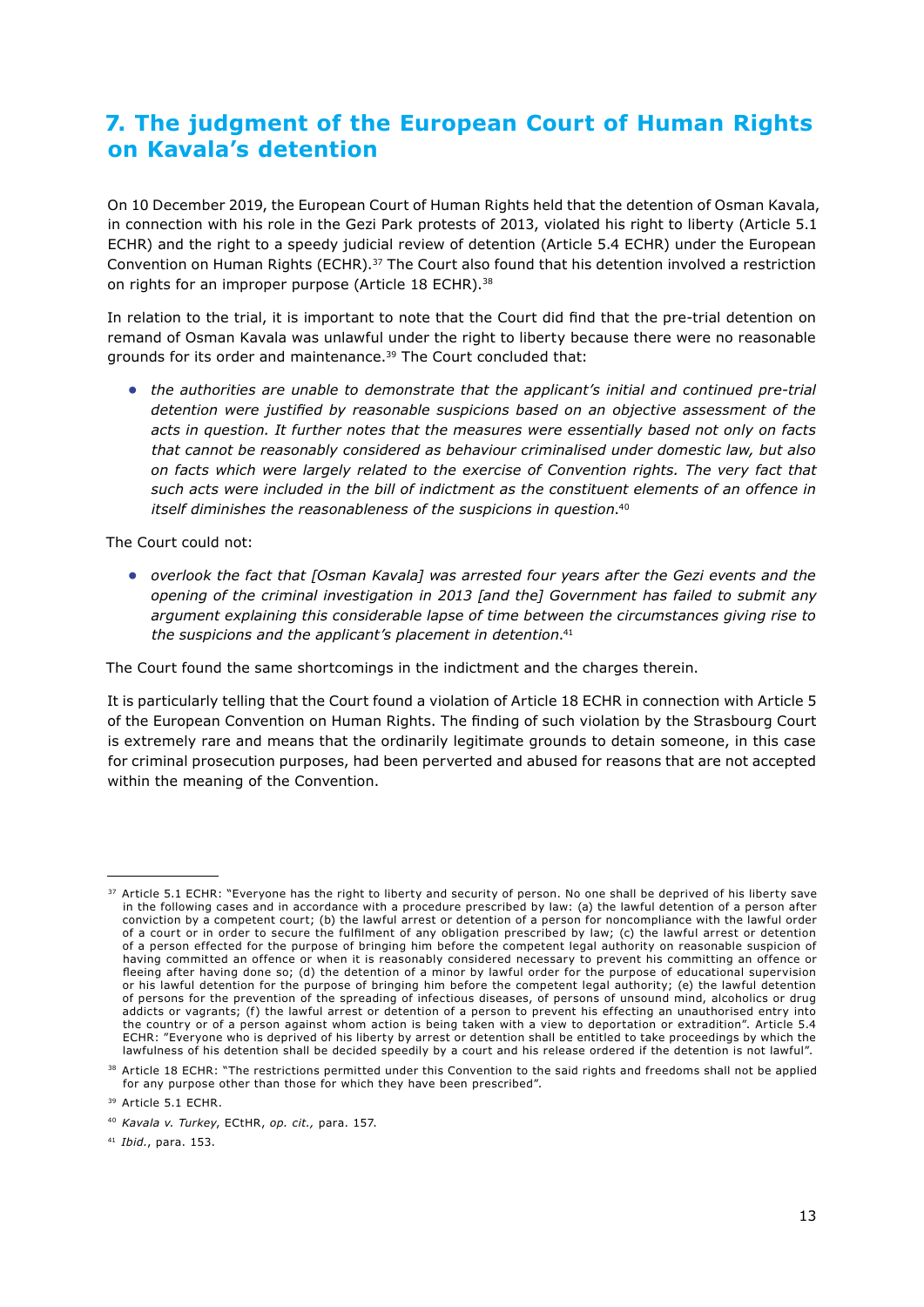### <span id="page-14-0"></span>**7. The judgment of the European Court of Human Rights on Kavala's detention**

On 10 December 2019, the European Court of Human Rights held that the detention of Osman Kavala, in connection with his role in the Gezi Park protests of 2013, violated his right to liberty (Article 5.1 ECHR) and the right to a speedy judicial review of detention (Article 5.4 ECHR) under the European Convention on Human Rights (ECHR).37 The Court also found that his detention involved a restriction on rights for an improper purpose (Article 18 ECHR).<sup>38</sup>

In relation to the trial, it is important to note that the Court did find that the pre-trial detention on remand of Osman Kavala was unlawful under the right to liberty because there were no reasonable grounds for its order and maintenance.<sup>39</sup> The Court concluded that:

**•** *the authorities are unable to demonstrate that the applicant's initial and continued pre-trial detention were justified by reasonable suspicions based on an objective assessment of the acts in question. It further notes that the measures were essentially based not only on facts that cannot be reasonably considered as behaviour criminalised under domestic law, but also on facts which were largely related to the exercise of Convention rights. The very fact that such acts were included in the bill of indictment as the constituent elements of an offence in itself diminishes the reasonableness of the suspicions in question*.40

The Court could not:

**•** *overlook the fact that [Osman Kavala] was arrested four years after the Gezi events and the opening of the criminal investigation in 2013 [and the] Government has failed to submit any argument explaining this considerable lapse of time between the circumstances giving rise to the suspicions and the applicant's placement in detention*.41

The Court found the same shortcomings in the indictment and the charges therein.

It is particularly telling that the Court found a violation of Article 18 ECHR in connection with Article 5 of the European Convention on Human Rights. The finding of such violation by the Strasbourg Court is extremely rare and means that the ordinarily legitimate grounds to detain someone, in this case for criminal prosecution purposes, had been perverted and abused for reasons that are not accepted within the meaning of the Convention.

<sup>&</sup>lt;sup>37</sup> Article 5.1 ECHR: "Everyone has the right to liberty and security of person. No one shall be deprived of his liberty save in the following cases and in accordance with a procedure prescribed by law: (a) the lawful detention of a person after conviction by a competent court; (b) the lawful arrest or detention of a person for noncompliance with the lawful order of a court or in order to secure the fulfilment of any obligation prescribed by law; (c) the lawful arrest or detention of a person effected for the purpose of bringing him before the competent legal authority on reasonable suspicion of having committed an offence or when it is reasonably considered necessary to prevent his committing an offence or fleeing after having done so; (d) the detention of a minor by lawful order for the purpose of educational supervision or his lawful detention for the purpose of bringing him before the competent legal authority; (e) the lawful detention of persons for the prevention of the spreading of infectious diseases, of persons of unsound mind, alcoholics or drug addicts or vagrants; (f) the lawful arrest or detention of a person to prevent his effecting an unauthorised entry into the country or of a person against whom action is being taken with a view to deportation or extradition". Article 5.4 ECHR: "Everyone who is deprived of his liberty by arrest or detention shall be entitled to take proceedings by which the lawfulness of his detention shall be decided speedily by a court and his release ordered if the detention is not lawful".

<sup>38</sup> Article 18 ECHR: "The restrictions permitted under this Convention to the said rights and freedoms shall not be applied for any purpose other than those for which they have been prescribed".

<sup>39</sup> Article 5.1 ECHR.

<sup>40</sup> *Kavala v. Turkey*, ECtHR, *op. cit.,* para. 157.

<sup>41</sup> *Ibid.*, para. 153.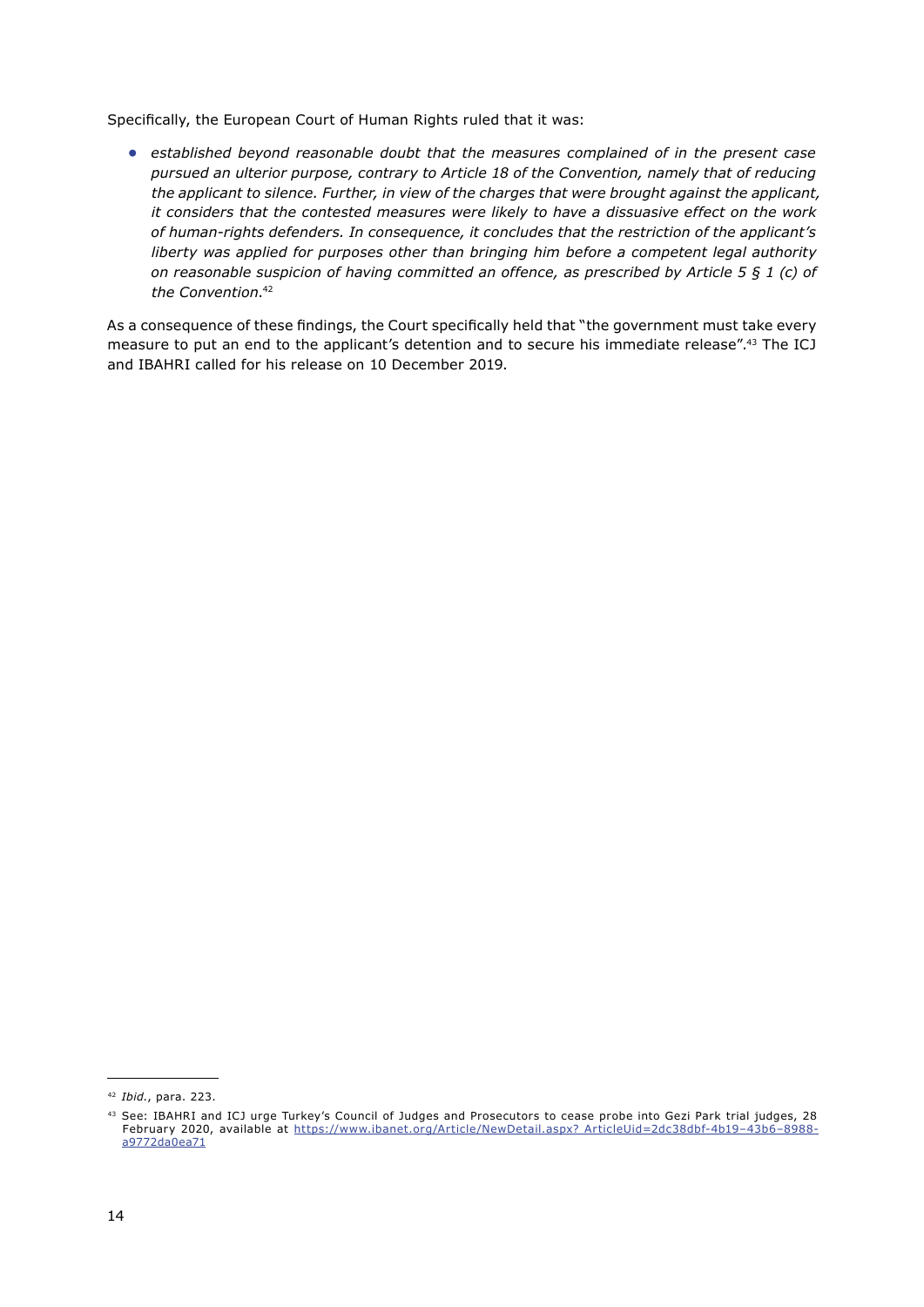Specifically, the European Court of Human Rights ruled that it was:

**•** *established beyond reasonable doubt that the measures complained of in the present case pursued an ulterior purpose, contrary to Article 18 of the Convention, namely that of reducing the applicant to silence. Further, in view of the charges that were brought against the applicant, it considers that the contested measures were likely to have a dissuasive effect on the work of human-rights defenders. In consequence, it concludes that the restriction of the applicant's liberty was applied for purposes other than bringing him before a competent legal authority on reasonable suspicion of having committed an offence, as prescribed by Article 5 § 1 (c) of the Convention*.42

As a consequence of these findings, the Court specifically held that "the government must take every measure to put an end to the applicant's detention and to secure his immediate release".43 The ICJ and IBAHRI called for his release on 10 December 2019.

<sup>42</sup> *Ibid.*, para. 223.

<sup>43</sup> See: IBAHRI and ICJ urge Turkey's Council of Judges and Prosecutors to cease probe into Gezi Park trial judges, 28 February 2020, available at [https://www.ibanet.org/Article/NewDetail.aspx? ArticleUid=2dc38dbf-4b19–43b6–8988](https://www.ibanet.org/Article/NewDetail.aspx?ArticleUid=2dc38dbf-4b19-43b6-8988-a9772da0ea71) [a9772da0ea71](https://www.ibanet.org/Article/NewDetail.aspx?ArticleUid=2dc38dbf-4b19-43b6-8988-a9772da0ea71)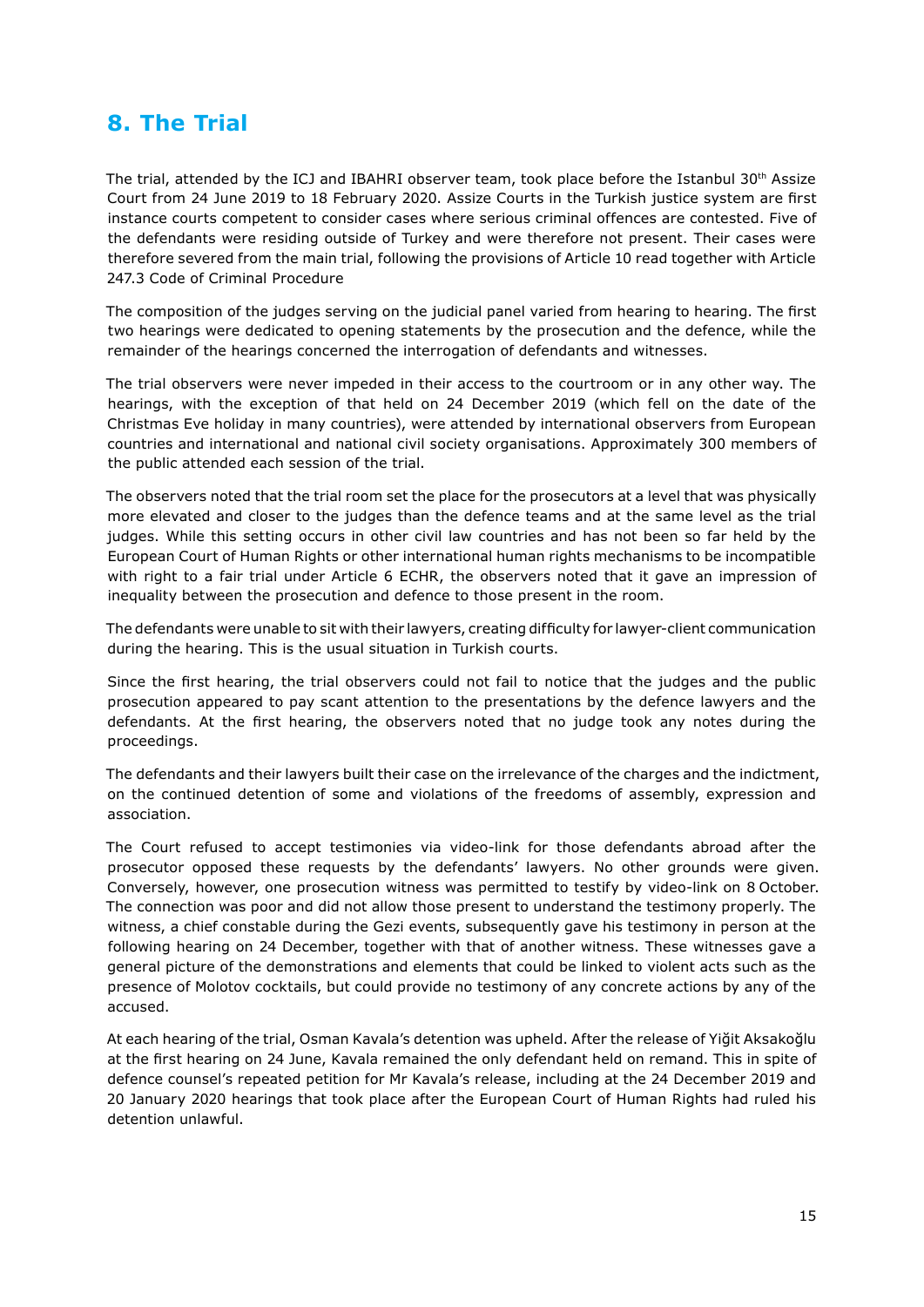### <span id="page-16-0"></span>**8. The Trial**

The trial, attended by the ICJ and IBAHRI observer team, took place before the Istanbul 30<sup>th</sup> Assize Court from 24 June 2019 to 18 February 2020. Assize Courts in the Turkish justice system are first instance courts competent to consider cases where serious criminal offences are contested. Five of the defendants were residing outside of Turkey and were therefore not present. Their cases were therefore severed from the main trial, following the provisions of Article 10 read together with Article 247.3 Code of Criminal Procedure

The composition of the judges serving on the judicial panel varied from hearing to hearing. The first two hearings were dedicated to opening statements by the prosecution and the defence, while the remainder of the hearings concerned the interrogation of defendants and witnesses.

The trial observers were never impeded in their access to the courtroom or in any other way. The hearings, with the exception of that held on 24 December 2019 (which fell on the date of the Christmas Eve holiday in many countries), were attended by international observers from European countries and international and national civil society organisations. Approximately 300 members of the public attended each session of the trial.

The observers noted that the trial room set the place for the prosecutors at a level that was physically more elevated and closer to the judges than the defence teams and at the same level as the trial judges. While this setting occurs in other civil law countries and has not been so far held by the European Court of Human Rights or other international human rights mechanisms to be incompatible with right to a fair trial under Article 6 ECHR, the observers noted that it gave an impression of inequality between the prosecution and defence to those present in the room.

The defendants were unable to sit with their lawyers, creating difficulty for lawyer-client communication during the hearing. This is the usual situation in Turkish courts.

Since the first hearing, the trial observers could not fail to notice that the judges and the public prosecution appeared to pay scant attention to the presentations by the defence lawyers and the defendants. At the first hearing, the observers noted that no judge took any notes during the proceedings.

The defendants and their lawyers built their case on the irrelevance of the charges and the indictment, on the continued detention of some and violations of the freedoms of assembly, expression and association.

The Court refused to accept testimonies via video-link for those defendants abroad after the prosecutor opposed these requests by the defendants' lawyers. No other grounds were given. Conversely, however, one prosecution witness was permitted to testify by video-link on 8 October. The connection was poor and did not allow those present to understand the testimony properly. The witness, a chief constable during the Gezi events, subsequently gave his testimony in person at the following hearing on 24 December, together with that of another witness. These witnesses gave a general picture of the demonstrations and elements that could be linked to violent acts such as the presence of Molotov cocktails, but could provide no testimony of any concrete actions by any of the accused.

At each hearing of the trial, Osman Kavala's detention was upheld. After the release of Yiğit Aksakoğlu at the first hearing on 24 June, Kavala remained the only defendant held on remand. This in spite of defence counsel's repeated petition for Mr Kavala's release, including at the 24 December 2019 and 20 January 2020 hearings that took place after the European Court of Human Rights had ruled his detention unlawful.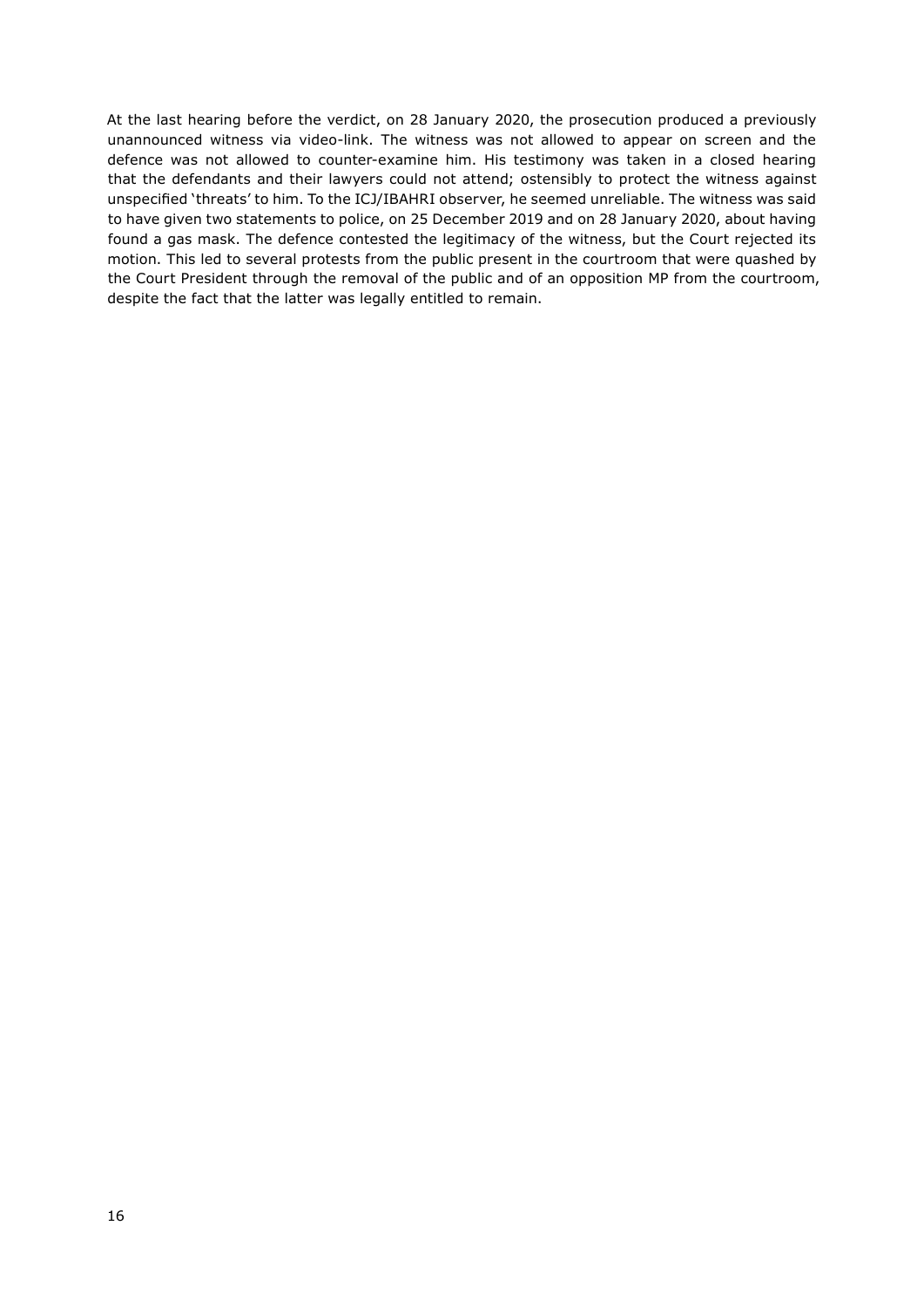At the last hearing before the verdict, on 28 January 2020, the prosecution produced a previously unannounced witness via video-link. The witness was not allowed to appear on screen and the defence was not allowed to counter-examine him. His testimony was taken in a closed hearing that the defendants and their lawyers could not attend; ostensibly to protect the witness against unspecified 'threats' to him. To the ICJ/IBAHRI observer, he seemed unreliable. The witness was said to have given two statements to police, on 25 December 2019 and on 28 January 2020, about having found a gas mask. The defence contested the legitimacy of the witness, but the Court rejected its motion. This led to several protests from the public present in the courtroom that were quashed by the Court President through the removal of the public and of an opposition MP from the courtroom, despite the fact that the latter was legally entitled to remain.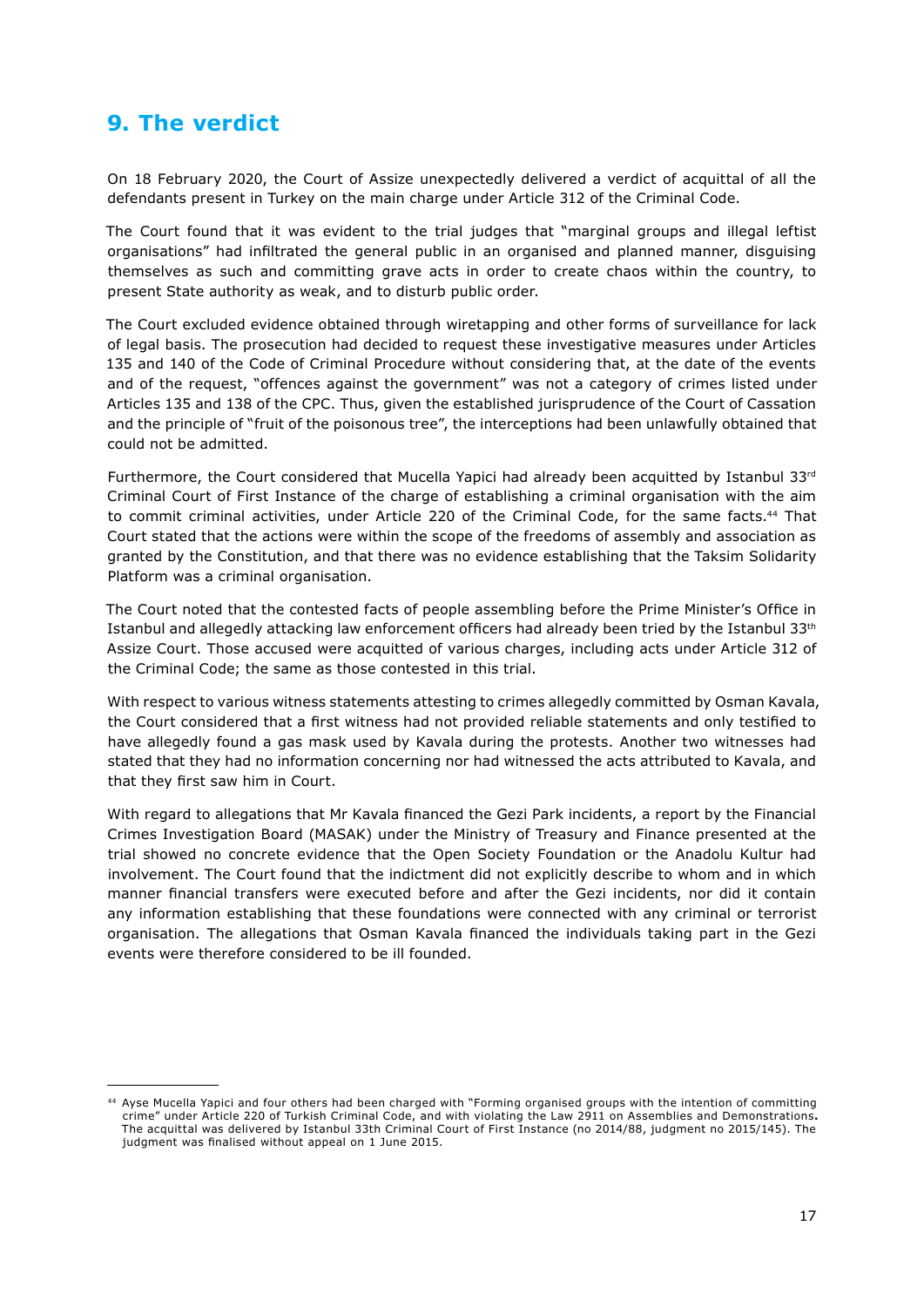### <span id="page-18-0"></span>**9. The verdict**

On 18 February 2020, the Court of Assize unexpectedly delivered a verdict of acquittal of all the defendants present in Turkey on the main charge under Article 312 of the Criminal Code.

The Court found that it was evident to the trial judges that "marginal groups and illegal leftist organisations" had infiltrated the general public in an organised and planned manner, disguising themselves as such and committing grave acts in order to create chaos within the country, to present State authority as weak, and to disturb public order.

The Court excluded evidence obtained through wiretapping and other forms of surveillance for lack of legal basis. The prosecution had decided to request these investigative measures under Articles 135 and 140 of the Code of Criminal Procedure without considering that, at the date of the events and of the request, "offences against the government" was not a category of crimes listed under Articles 135 and 138 of the CPC. Thus, given the established jurisprudence of the Court of Cassation and the principle of "fruit of the poisonous tree", the interceptions had been unlawfully obtained that could not be admitted.

Furthermore, the Court considered that Mucella Yapici had already been acquitted by Istanbul 33rd Criminal Court of First Instance of the charge of establishing a criminal organisation with the aim to commit criminal activities, under Article 220 of the Criminal Code, for the same facts.<sup>44</sup> That Court stated that the actions were within the scope of the freedoms of assembly and association as granted by the Constitution, and that there was no evidence establishing that the Taksim Solidarity Platform was a criminal organisation.

The Court noted that the contested facts of people assembling before the Prime Minister's Office in Istanbul and allegedly attacking law enforcement officers had already been tried by the Istanbul 33th Assize Court. Those accused were acquitted of various charges, including acts under Article 312 of the Criminal Code; the same as those contested in this trial.

With respect to various witness statements attesting to crimes allegedly committed by Osman Kavala, the Court considered that a first witness had not provided reliable statements and only testified to have allegedly found a gas mask used by Kavala during the protests. Another two witnesses had stated that they had no information concerning nor had witnessed the acts attributed to Kavala, and that they first saw him in Court.

With regard to allegations that Mr Kavala financed the Gezi Park incidents, a report by the Financial Crimes Investigation Board (MASAK) under the Ministry of Treasury and Finance presented at the trial showed no concrete evidence that the Open Society Foundation or the Anadolu Kultur had involvement. The Court found that the indictment did not explicitly describe to whom and in which manner financial transfers were executed before and after the Gezi incidents, nor did it contain any information establishing that these foundations were connected with any criminal or terrorist organisation. The allegations that Osman Kavala financed the individuals taking part in the Gezi events were therefore considered to be ill founded.

<sup>44</sup> Ayse Mucella Yapici and four others had been charged with "Forming organised groups with the intention of committing crime" under Article 220 of Turkish Criminal Code, and with violating the Law 2911 on Assemblies and Demonstrations**.**  The acquittal was delivered by Istanbul 33th Criminal Court of First Instance (no 2014/88, judgment no 2015/145). The judgment was finalised without appeal on 1 June 2015.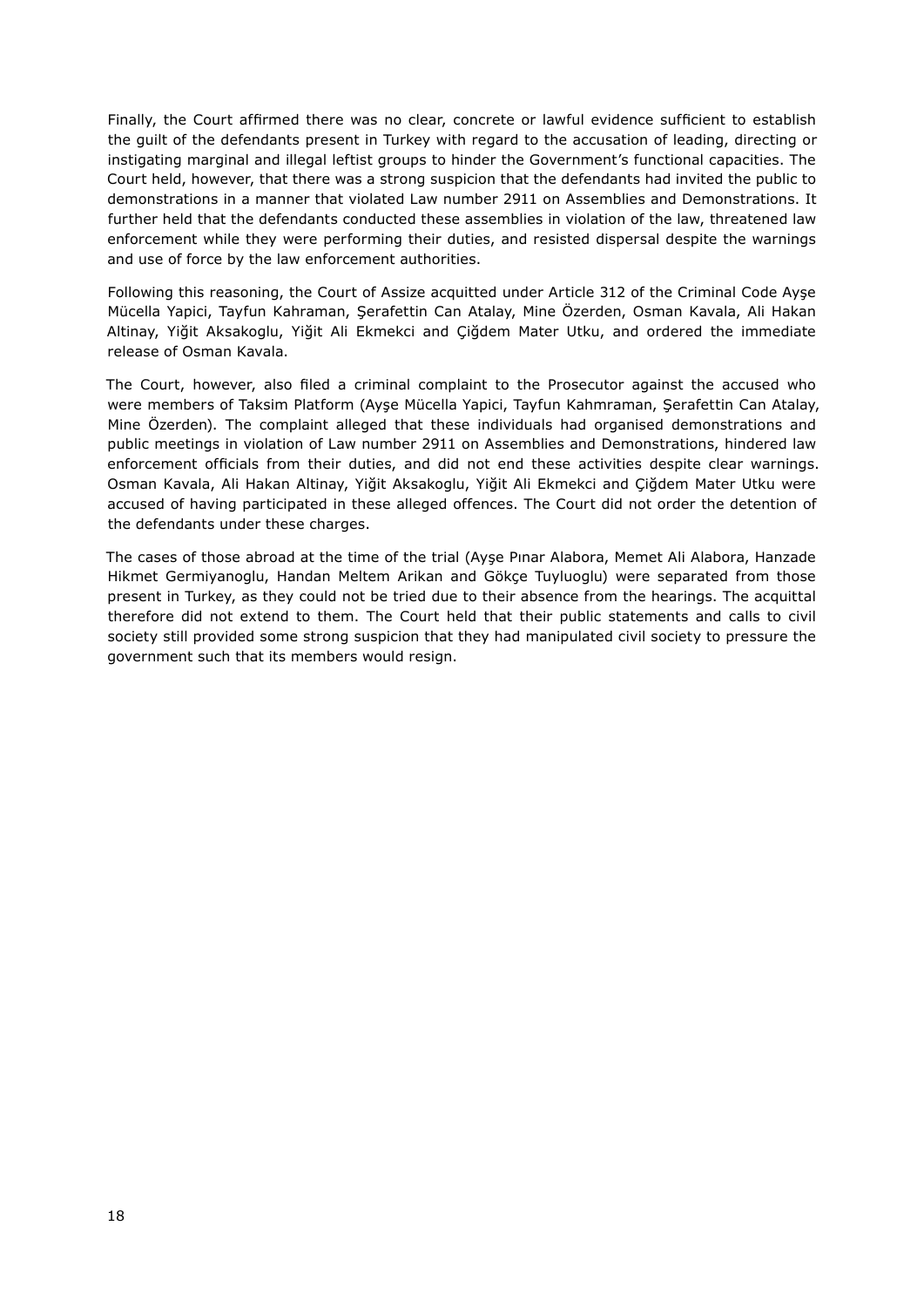Finally, the Court affirmed there was no clear, concrete or lawful evidence sufficient to establish the guilt of the defendants present in Turkey with regard to the accusation of leading, directing or instigating marginal and illegal leftist groups to hinder the Government's functional capacities. The Court held, however, that there was a strong suspicion that the defendants had invited the public to demonstrations in a manner that violated Law number 2911 on Assemblies and Demonstrations. It further held that the defendants conducted these assemblies in violation of the law, threatened law enforcement while they were performing their duties, and resisted dispersal despite the warnings and use of force by the law enforcement authorities.

Following this reasoning, the Court of Assize acquitted under Article 312 of the Criminal Code Ayşe Mücella Yapici, Tayfun Kahraman, Şerafettin Can Atalay, Mine Özerden, Osman Kavala, Ali Hakan Altinay, Yiğit Aksakoglu, Yiğit Ali Ekmekci and Çiğdem Mater Utku, and ordered the immediate release of Osman Kavala.

The Court, however, also filed a criminal complaint to the Prosecutor against the accused who were members of Taksim Platform (Ayşe Mücella Yapici, Tayfun Kahmraman, Şerafettin Can Atalay, Mine Özerden). The complaint alleged that these individuals had organised demonstrations and public meetings in violation of Law number 2911 on Assemblies and Demonstrations, hindered law enforcement officials from their duties, and did not end these activities despite clear warnings. Osman Kavala, Ali Hakan Altinay, Yiğit Aksakoglu, Yiğit Ali Ekmekci and Çiğdem Mater Utku were accused of having participated in these alleged offences. The Court did not order the detention of the defendants under these charges.

The cases of those abroad at the time of the trial (Ayşe Pınar Alabora, Memet Ali Alabora, Hanzade Hikmet Germiyanoglu, Handan Meltem Arikan and Gökçe Tuyluoglu) were separated from those present in Turkey, as they could not be tried due to their absence from the hearings. The acquittal therefore did not extend to them. The Court held that their public statements and calls to civil society still provided some strong suspicion that they had manipulated civil society to pressure the government such that its members would resign.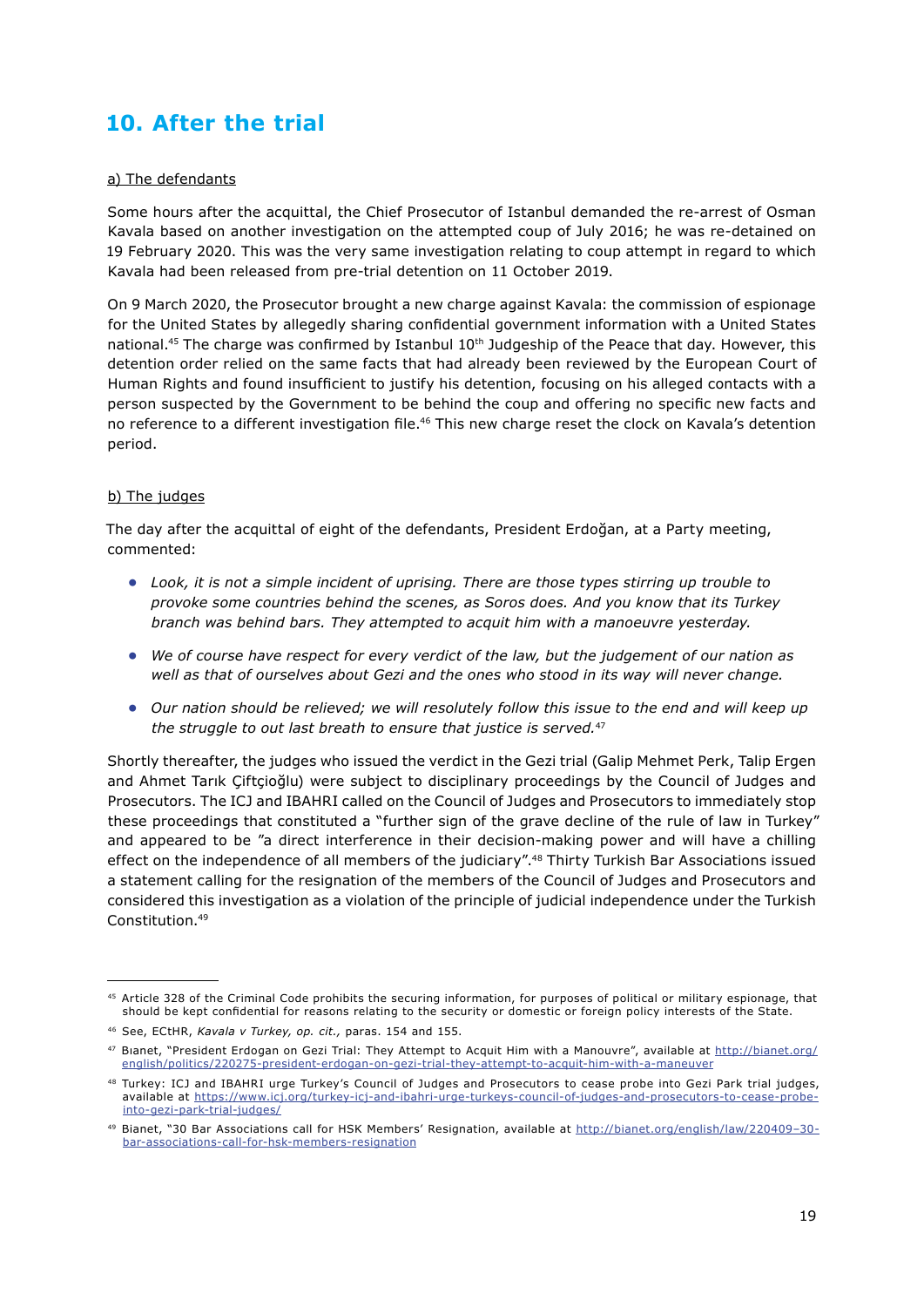### <span id="page-20-0"></span>**10. After the trial**

### a) The defendants

Some hours after the acquittal, the Chief Prosecutor of Istanbul demanded the re-arrest of Osman Kavala based on another investigation on the attempted coup of July 2016; he was re-detained on 19 February 2020. This was the very same investigation relating to coup attempt in regard to which Kavala had been released from pre-trial detention on 11 October 2019.

On 9 March 2020, the Prosecutor brought a new charge against Kavala: the commission of espionage for the United States by allegedly sharing confidential government information with a United States national.<sup>45</sup> The charge was confirmed by Istanbul  $10<sup>th</sup>$  Judgeship of the Peace that day. However, this detention order relied on the same facts that had already been reviewed by the European Court of Human Rights and found insufficient to justify his detention, focusing on his alleged contacts with a person suspected by the Government to be behind the coup and offering no specific new facts and no reference to a different investigation file.<sup>46</sup> This new charge reset the clock on Kavala's detention period.

### b) The judges

The day after the acquittal of eight of the defendants, President Erdoğan, at a Party meeting, commented:

- **•** *Look, it is not a simple incident of uprising. There are those types stirring up trouble to provoke some countries behind the scenes, as Soros does. And you know that its Turkey branch was behind bars. They attempted to acquit him with a manoeuvre yesterday.*
- **•** *We of course have respect for every verdict of the law, but the judgement of our nation as well as that of ourselves about Gezi and the ones who stood in its way will never change.*
- **•** *Our nation should be relieved; we will resolutely follow this issue to the end and will keep up the struggle to out last breath to ensure that justice is served.*<sup>47</sup>

Shortly thereafter, the judges who issued the verdict in the Gezi trial (Galip Mehmet Perk, Talip Ergen and Ahmet Tarık Çiftçioğlu) were subject to disciplinary proceedings by the Council of Judges and Prosecutors. The ICJ and IBAHRI called on the Council of Judges and Prosecutors to immediately stop these proceedings that constituted a "further sign of the grave decline of the rule of law in Turkey" and appeared to be "a direct interference in their decision-making power and will have a chilling effect on the independence of all members of the judiciary".48 Thirty Turkish Bar Associations issued a statement calling for the resignation of the members of the Council of Judges and Prosecutors and considered this investigation as a violation of the principle of judicial independence under the Turkish Constitution.49

<sup>45</sup> Article 328 of the Criminal Code prohibits the securing information, for purposes of political or military espionage, that should be kept confidential for reasons relating to the security or domestic or foreign policy interests of the State.

<sup>46</sup> See, ECtHR, *Kavala v Turkey, op. cit.,* paras. 154 and 155.

<sup>47</sup> Bıanet, "President Erdogan on Gezi Trial: They Attempt to Acquit Him with a Manouvre", available at [http://bianet.org/](http://bianet.org/english/politics/220275-president-erdogan-on-gezi-trial-they-attempt-to-acquit-him-with-a-maneuver) [english/politics/220275-president-erdogan-on-gezi-trial-they-attempt-to-acquit-him-with-a-maneuver](http://bianet.org/english/politics/220275-president-erdogan-on-gezi-trial-they-attempt-to-acquit-him-with-a-maneuver)

<sup>48</sup> Turkey: ICJ and IBAHRI urge Turkey's Council of Judges and Prosecutors to cease probe into Gezi Park trial judges, available at [https://www.icj.org/turkey-icj-and-ibahri-urge-turkeys-council-of-judges-and-prosecutors-to-cease-probe](https://www.icj.org/turkey-icj-and-ibahri-urge-turkeys-council-of-judges-and-prosecutors-to-cease-probe-into-gezi-park-trial-judges/)[into-gezi-park-trial-judges/](https://www.icj.org/turkey-icj-and-ibahri-urge-turkeys-council-of-judges-and-prosecutors-to-cease-probe-into-gezi-park-trial-judges/)

<sup>49</sup> Bianet, "30 Bar Associations call for HSK Members' Resignation, available at http://bianet.org/english/law/220409-30[bar-associations-call-for-hsk-members-resignation](http://bianet.org/english/law/220409-30-bar-associations-call-for-hsk-members-resignation)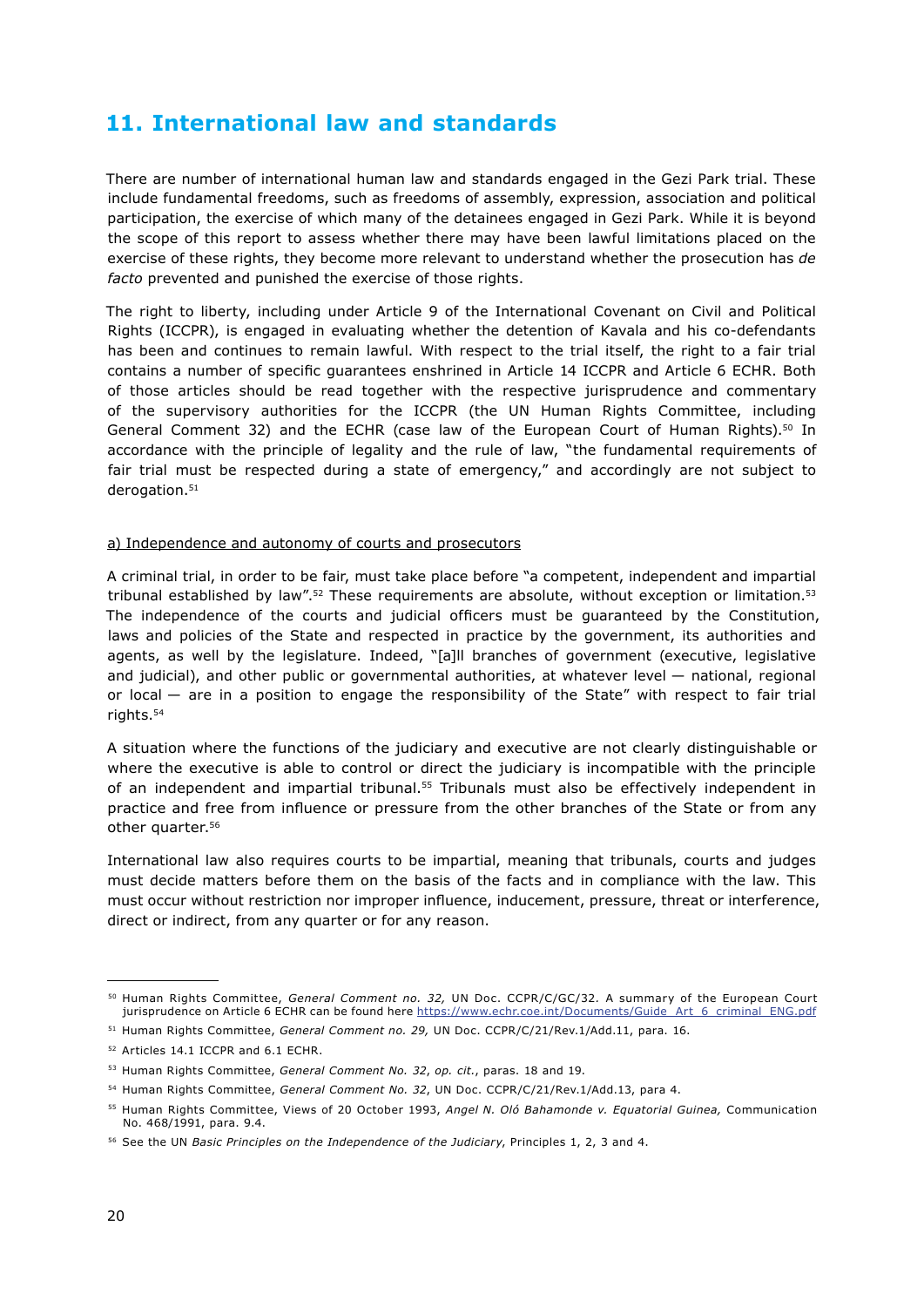### <span id="page-21-0"></span>**11. International law and standards**

There are number of international human law and standards engaged in the Gezi Park trial. These include fundamental freedoms, such as freedoms of assembly, expression, association and political participation, the exercise of which many of the detainees engaged in Gezi Park. While it is beyond the scope of this report to assess whether there may have been lawful limitations placed on the exercise of these rights, they become more relevant to understand whether the prosecution has *de facto* prevented and punished the exercise of those rights.

The right to liberty, including under Article 9 of the International Covenant on Civil and Political Rights (ICCPR), is engaged in evaluating whether the detention of Kavala and his co-defendants has been and continues to remain lawful. With respect to the trial itself, the right to a fair trial contains a number of specific guarantees enshrined in Article 14 ICCPR and Article 6 ECHR. Both of those articles should be read together with the respective jurisprudence and commentary of the supervisory authorities for the ICCPR (the UN Human Rights Committee, including General Comment 32) and the ECHR (case law of the European Court of Human Rights).<sup>50</sup> In accordance with the principle of legality and the rule of law, "the fundamental requirements of fair trial must be respected during a state of emergency," and accordingly are not subject to derogation.<sup>51</sup>

### a) Independence and autonomy of courts and prosecutors

A criminal trial, in order to be fair, must take place before "a competent, independent and impartial tribunal established by law".<sup>52</sup> These requirements are absolute, without exception or limitation.<sup>53</sup> The independence of the courts and judicial officers must be guaranteed by the Constitution, laws and policies of the State and respected in practice by the government, its authorities and agents, as well by the legislature. Indeed, "[a]ll branches of government (executive, legislative and judicial), and other public or governmental authorities, at whatever level — national, regional or local — are in a position to engage the responsibility of the State" with respect to fair trial rights.54

A situation where the functions of the judiciary and executive are not clearly distinguishable or where the executive is able to control or direct the judiciary is incompatible with the principle of an independent and impartial tribunal.<sup>55</sup> Tribunals must also be effectively independent in practice and free from influence or pressure from the other branches of the State or from any other quarter.<sup>56</sup>

International law also requires courts to be impartial, meaning that tribunals, courts and judges must decide matters before them on the basis of the facts and in compliance with the law. This must occur without restriction nor improper influence, inducement, pressure, threat or interference, direct or indirect, from any quarter or for any reason.

<sup>50</sup> Human Rights Committee, *General Comment no. 32,* UN Doc. CCPR/C/GC/32*.* A summary of the European Court jurisprudence on Article 6 ECHR can be found here [https://www.echr.coe.int/Documents/Guide\\_Art\\_6\\_criminal\\_ENG.pdf](https://www.echr.coe.int/Documents/Guide_Art_6_criminal_ENG.pdf)

<sup>51</sup> Human Rights Committee, *General Comment no. 29,* UN Doc. CCPR/C/21/Rev.1/Add.11, para. 16.

<sup>52</sup> Articles 14.1 ICCPR and 6.1 ECHR.

<sup>53</sup> Human Rights Committee, *General Comment No. 32*, *op. cit.*, paras. 18 and 19.

<sup>54</sup> Human Rights Committee, *General Comment No. 32*, UN Doc. CCPR/C/21/Rev.1/Add.13, para 4.

<sup>55</sup> Human Rights Committee, Views of 20 October 1993, *Angel N. Oló Bahamonde v. Equatorial Guinea,* Communication No. 468/1991, para. 9.4.

<sup>56</sup> See the UN *Basic Principles on the Independence of the Judiciary*, Principles 1, 2, 3 and 4.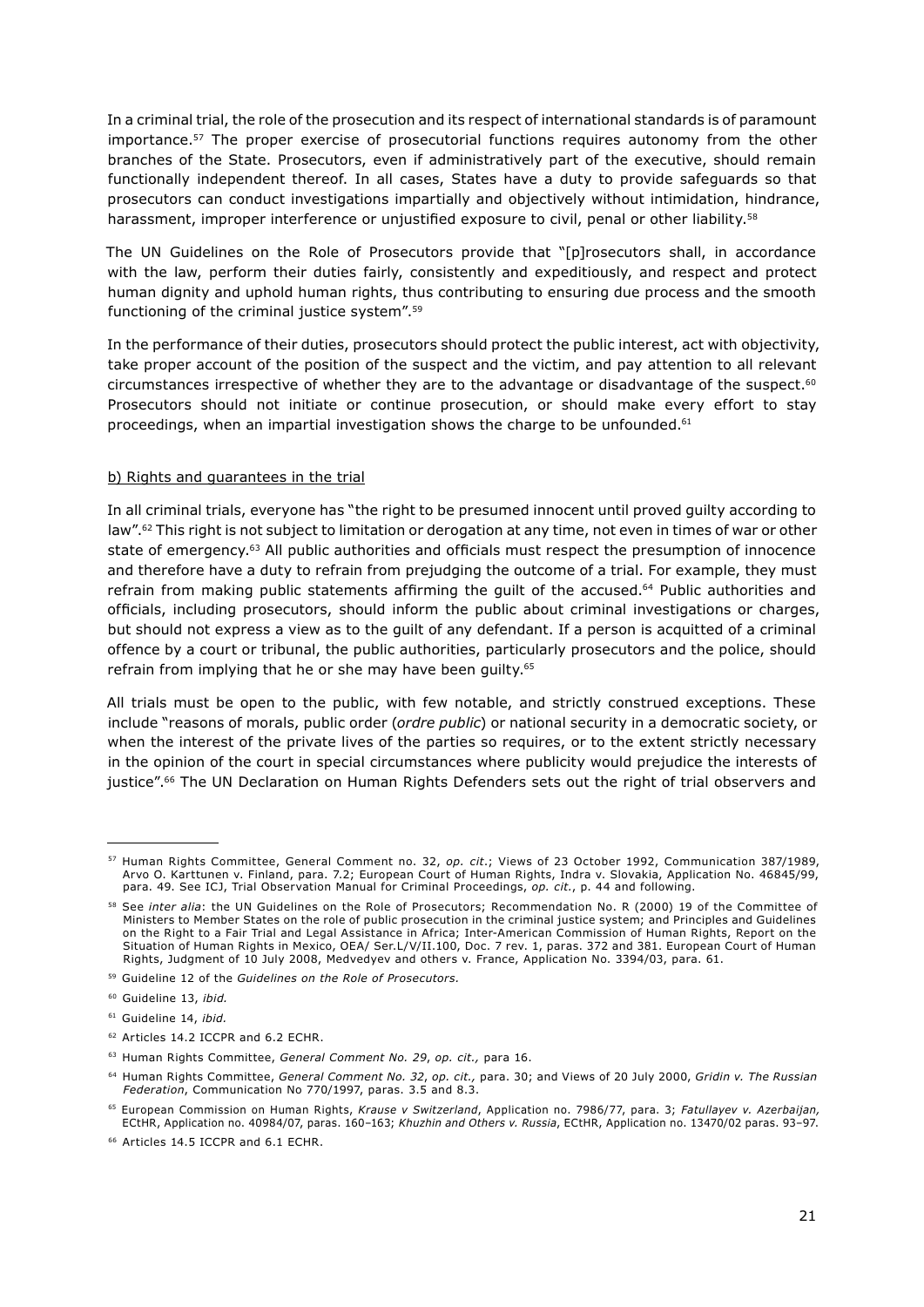In a criminal trial, the role of the prosecution and its respect of international standards is of paramount importance.57 The proper exercise of prosecutorial functions requires autonomy from the other branches of the State. Prosecutors, even if administratively part of the executive, should remain functionally independent thereof. In all cases, States have a duty to provide safeguards so that prosecutors can conduct investigations impartially and objectively without intimidation, hindrance, harassment, improper interference or unjustified exposure to civil, penal or other liability.<sup>58</sup>

The UN Guidelines on the Role of Prosecutors provide that "[p]rosecutors shall, in accordance with the law, perform their duties fairly, consistently and expeditiously, and respect and protect human dignity and uphold human rights, thus contributing to ensuring due process and the smooth functioning of the criminal justice system".59

In the performance of their duties, prosecutors should protect the public interest, act with objectivity, take proper account of the position of the suspect and the victim, and pay attention to all relevant circumstances irrespective of whether they are to the advantage or disadvantage of the suspect.<sup>60</sup> Prosecutors should not initiate or continue prosecution, or should make every effort to stay proceedings, when an impartial investigation shows the charge to be unfounded.<sup>61</sup>

### b) Rights and guarantees in the trial

In all criminal trials, everyone has "the right to be presumed innocent until proved guilty according to law".<sup>62</sup> This right is not subject to limitation or derogation at any time, not even in times of war or other state of emergency.<sup>63</sup> All public authorities and officials must respect the presumption of innocence and therefore have a duty to refrain from prejudging the outcome of a trial. For example, they must refrain from making public statements affirming the guilt of the accused.<sup>64</sup> Public authorities and officials, including prosecutors, should inform the public about criminal investigations or charges, but should not express a view as to the guilt of any defendant. If a person is acquitted of a criminal offence by a court or tribunal, the public authorities, particularly prosecutors and the police, should refrain from implying that he or she may have been guilty.<sup>65</sup>

All trials must be open to the public, with few notable, and strictly construed exceptions. These include "reasons of morals, public order (*ordre public*) or national security in a democratic society, or when the interest of the private lives of the parties so requires, or to the extent strictly necessary in the opinion of the court in special circumstances where publicity would prejudice the interests of justice".66 The UN Declaration on Human Rights Defenders sets out the right of trial observers and

<sup>57</sup> Human Rights Committee, General Comment no. 32, *op. cit*.; Views of 23 October 1992, Communication 387/1989, Arvo O. Karttunen v. Finland, para. 7.2; European Court of Human Rights, Indra v. Slovakia, Application No. 46845/99, para. 49. See ICJ, Trial Observation Manual for Criminal Proceedings, *op. cit.*, p. 44 and following.

<sup>58</sup> See *inter alia*: the UN Guidelines on the Role of Prosecutors; Recommendation No. R (2000) 19 of the Committee of Ministers to Member States on the role of public prosecution in the criminal justice system; and Principles and Guidelines on the Right to a Fair Trial and Legal Assistance in Africa; Inter-American Commission of Human Rights, Report on the Situation of Human Rights in Mexico, OEA/ Ser.L/V/II.100, Doc. 7 rev. 1, paras. 372 and 381. European Court of Human Rights, Judgment of 10 July 2008, Medvedyev and others v. France, Application No. 3394/03, para. 61.

<sup>59</sup> Guideline 12 of the *Guidelines on the Role of Prosecutors.*

<sup>60</sup> Guideline 13, *ibid.*

<sup>61</sup> Guideline 14, *ibid.*

<sup>62</sup> Articles 14.2 ICCPR and 6.2 ECHR.

<sup>63</sup> Human Rights Committee, *General Comment No. 29*, *op. cit.,* para 16.

<sup>64</sup> Human Rights Committee, *General Comment No. 32*, *op. cit.,* para. 30; and Views of 20 July 2000, *Gridin v. The Russian Federation*, Communication No 770/1997, paras. 3.5 and 8.3.

<sup>65</sup> European Commission on Human Rights, *Krause v Switzerland*, Application no. 7986/77, para. 3; *Fatullayev v. Azerbaijan,*  ECtHR, Application no. 40984/07, paras. 160–163; *Khuzhin and Others v. Russia*, ECtHR, Application no. 13470/02 paras. 93–97.

<sup>66</sup> Articles 14.5 ICCPR and 6.1 ECHR.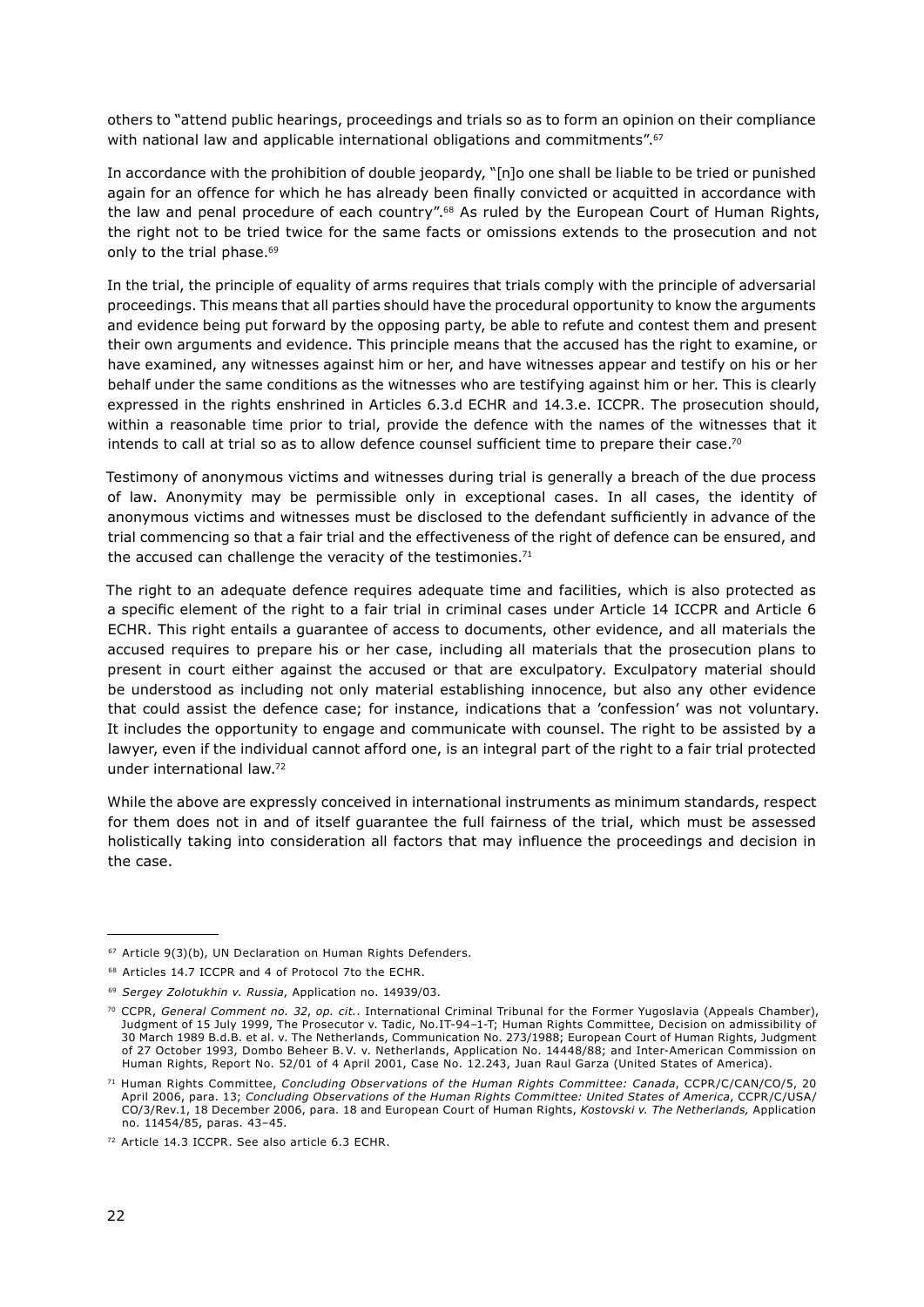others to "attend public hearings, proceedings and trials so as to form an opinion on their compliance with national law and applicable international obligations and commitments".<sup>67</sup>

In accordance with the prohibition of double jeopardy, "[n]o one shall be liable to be tried or punished again for an offence for which he has already been finally convicted or acquitted in accordance with the law and penal procedure of each country".68 As ruled by the European Court of Human Rights, the right not to be tried twice for the same facts or omissions extends to the prosecution and not only to the trial phase.<sup>69</sup>

In the trial, the principle of equality of arms requires that trials comply with the principle of adversarial proceedings. This means that all parties should have the procedural opportunity to know the arguments and evidence being put forward by the opposing party, be able to refute and contest them and present their own arguments and evidence. This principle means that the accused has the right to examine, or have examined, any witnesses against him or her, and have witnesses appear and testify on his or her behalf under the same conditions as the witnesses who are testifying against him or her. This is clearly expressed in the rights enshrined in Articles 6.3.d ECHR and 14.3.e. ICCPR. The prosecution should, within a reasonable time prior to trial, provide the defence with the names of the witnesses that it intends to call at trial so as to allow defence counsel sufficient time to prepare their case.<sup>70</sup>

Testimony of anonymous victims and witnesses during trial is generally a breach of the due process of law. Anonymity may be permissible only in exceptional cases. In all cases, the identity of anonymous victims and witnesses must be disclosed to the defendant sufficiently in advance of the trial commencing so that a fair trial and the effectiveness of the right of defence can be ensured, and the accused can challenge the veracity of the testimonies.<sup>71</sup>

The right to an adequate defence requires adequate time and facilities, which is also protected as a specific element of the right to a fair trial in criminal cases under Article 14 ICCPR and Article 6 ECHR. This right entails a guarantee of access to documents, other evidence, and all materials the accused requires to prepare his or her case, including all materials that the prosecution plans to present in court either against the accused or that are exculpatory. Exculpatory material should be understood as including not only material establishing innocence, but also any other evidence that could assist the defence case; for instance, indications that a 'confession' was not voluntary. It includes the opportunity to engage and communicate with counsel. The right to be assisted by a lawyer, even if the individual cannot afford one, is an integral part of the right to a fair trial protected under international law.72

While the above are expressly conceived in international instruments as minimum standards, respect for them does not in and of itself guarantee the full fairness of the trial, which must be assessed holistically taking into consideration all factors that may influence the proceedings and decision in the case.

<sup>67</sup> Article 9(3)(b), UN Declaration on Human Rights Defenders.

<sup>68</sup> Articles 14.7 ICCPR and 4 of Protocol 7to the ECHR.

<sup>69</sup> *Sergey Zolotukhin v. Russia*, Application no. 14939/03.

<sup>70</sup> CCPR, *General Comment no. 32*, *op. cit.*. International Criminal Tribunal for the Former Yugoslavia (Appeals Chamber), Judgment of 15 July 1999, The Prosecutor v. Tadic, No.IT-94–1-T; Human Rights Committee, Decision on admissibility of 30 March 1989 B.d.B. et al. v. The Netherlands, Communication No. 273/1988; European Court of Human Rights, Judgment of 27 October 1993, Dombo Beheer B.V. v. Netherlands, Application No. 14448/88; and Inter-American Commission on Human Rights, Report No. 52/01 of 4 April 2001, Case No. 12.243, Juan Raul Garza (United States of America).

<sup>71</sup> Human Rights Committee, *Concluding Observations of the Human Rights Committee: Canada*, CCPR/C/CAN/CO/5, 20 April 2006, para. 13; *Concluding Observations of the Human Rights Committee: United States of America*, CCPR/C/USA/ CO/3/Rev.1, 18 December 2006, para. 18 and European Court of Human Rights, *Kostovski v. The Netherlands,* Application no. 11454/85, paras. 43–45.

<sup>72</sup> Article 14.3 ICCPR. See also article 6.3 ECHR.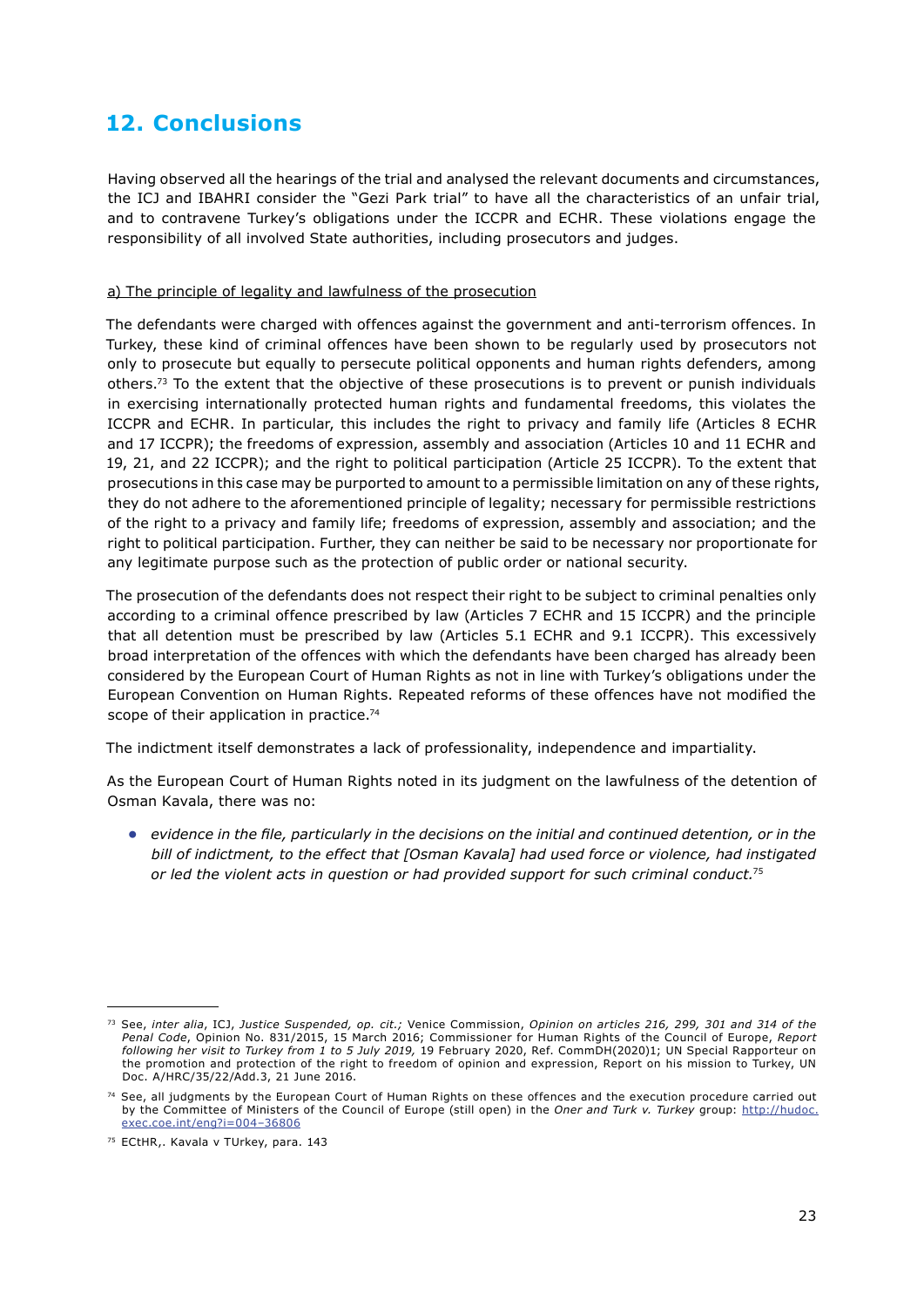### <span id="page-24-0"></span>**12. Conclusions**

Having observed all the hearings of the trial and analysed the relevant documents and circumstances, the ICJ and IBAHRI consider the "Gezi Park trial" to have all the characteristics of an unfair trial, and to contravene Turkey's obligations under the ICCPR and ECHR. These violations engage the responsibility of all involved State authorities, including prosecutors and judges.

### a) The principle of legality and lawfulness of the prosecution

The defendants were charged with offences against the government and anti-terrorism offences. In Turkey, these kind of criminal offences have been shown to be regularly used by prosecutors not only to prosecute but equally to persecute political opponents and human rights defenders, among others.73 To the extent that the objective of these prosecutions is to prevent or punish individuals in exercising internationally protected human rights and fundamental freedoms, this violates the ICCPR and ECHR. In particular, this includes the right to privacy and family life (Articles 8 ECHR and 17 ICCPR); the freedoms of expression, assembly and association (Articles 10 and 11 ECHR and 19, 21, and 22 ICCPR); and the right to political participation (Article 25 ICCPR). To the extent that prosecutions in this case may be purported to amount to a permissible limitation on any of these rights, they do not adhere to the aforementioned principle of legality; necessary for permissible restrictions of the right to a privacy and family life; freedoms of expression, assembly and association; and the right to political participation. Further, they can neither be said to be necessary nor proportionate for any legitimate purpose such as the protection of public order or national security.

The prosecution of the defendants does not respect their right to be subject to criminal penalties only according to a criminal offence prescribed by law (Articles 7 ECHR and 15 ICCPR) and the principle that all detention must be prescribed by law (Articles 5.1 ECHR and 9.1 ICCPR). This excessively broad interpretation of the offences with which the defendants have been charged has already been considered by the European Court of Human Rights as not in line with Turkey's obligations under the European Convention on Human Rights. Repeated reforms of these offences have not modified the scope of their application in practice.<sup>74</sup>

The indictment itself demonstrates a lack of professionality, independence and impartiality.

As the European Court of Human Rights noted in its judgment on the lawfulness of the detention of Osman Kavala, there was no:

**•** *evidence in the file, particularly in the decisions on the initial and continued detention, or in the bill of indictment, to the effect that [Osman Kavala] had used force or violence, had instigated or led the violent acts in question or had provided support for such criminal conduct.*<sup>75</sup>

<sup>73</sup> See, *inter alia*, ICJ, *Justice Suspended, op. cit.;* Venice Commission, *Opinion on articles 216, 299, 301 and 314 of the Penal Code*, Opinion No. 831/2015, 15 March 2016; Commissioner for Human Rights of the Council of Europe, *Report following her visit to Turkey from 1 to 5 July 2019,* 19 February 2020, Ref. CommDH(2020)1; UN Special Rapporteur on the promotion and protection of the right to freedom of opinion and expression, Report on his mission to Turkey, UN Doc. A/HRC/35/22/Add.3, 21 June 2016.

<sup>74</sup> See, all judgments by the European Court of Human Rights on these offences and the execution procedure carried out by the Committee of Ministers of the Council of Europe (still open) in the *Oner and Turk v. Turkey* group: [http://hudoc.](http://hudoc.exec.coe.int/eng?i=004-36806) [exec.coe.int/eng?i=004–36806](http://hudoc.exec.coe.int/eng?i=004-36806)

<sup>75</sup> ECtHR,. Kavala v TUrkey, para. 143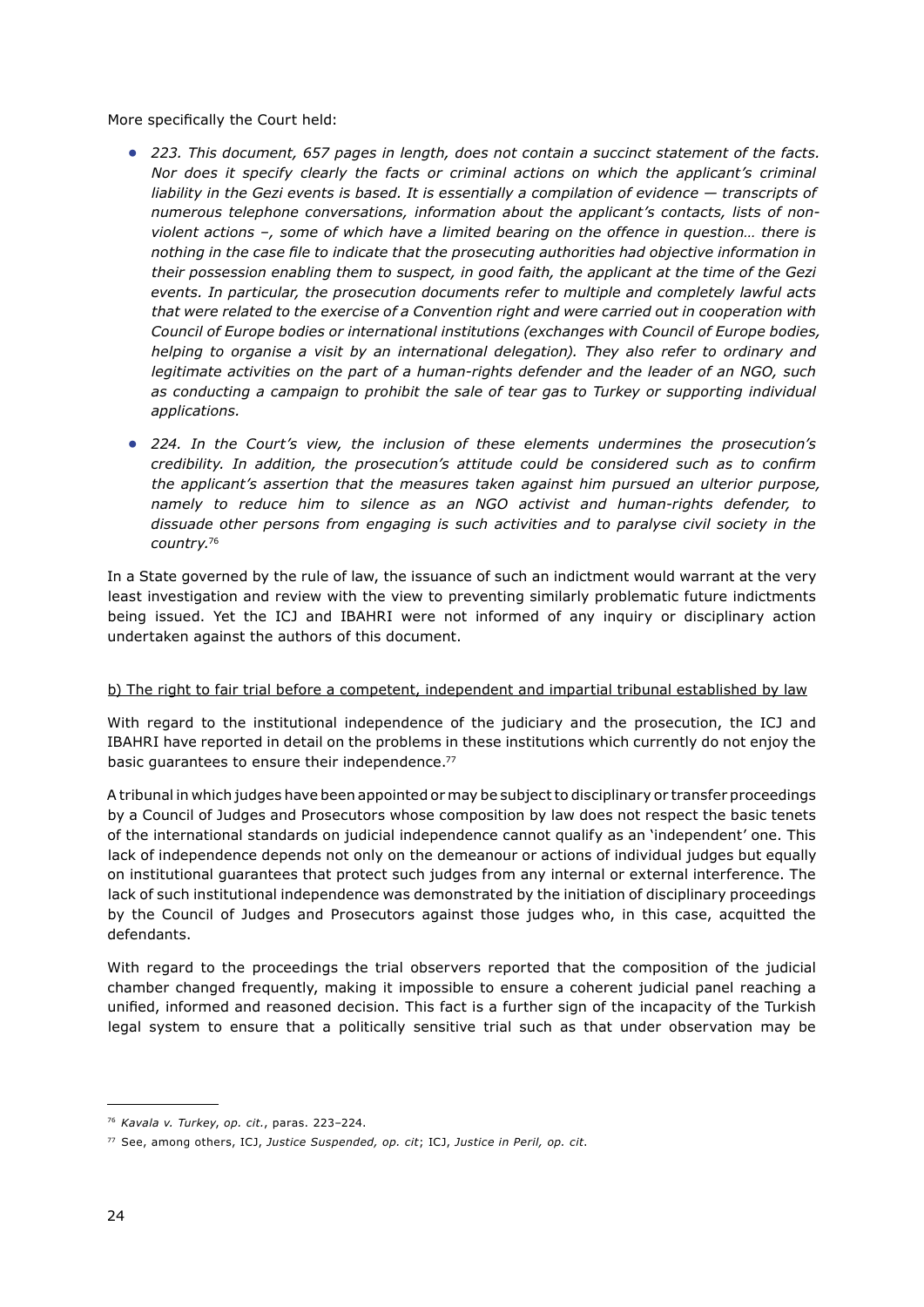More specifically the Court held:

- **•** *223. This document, 657 pages in length, does not contain a succinct statement of the facts. Nor does it specify clearly the facts or criminal actions on which the applicant's criminal liability in the Gezi events is based. It is essentially a compilation of evidence — transcripts of numerous telephone conversations, information about the applicant's contacts, lists of nonviolent actions –, some of which have a limited bearing on the offence in question… there is nothing in the case file to indicate that the prosecuting authorities had objective information in their possession enabling them to suspect, in good faith, the applicant at the time of the Gezi events. In particular, the prosecution documents refer to multiple and completely lawful acts that were related to the exercise of a Convention right and were carried out in cooperation with Council of Europe bodies or international institutions (exchanges with Council of Europe bodies, helping to organise a visit by an international delegation). They also refer to ordinary and legitimate activities on the part of a human-rights defender and the leader of an NGO, such as conducting a campaign to prohibit the sale of tear gas to Turkey or supporting individual applications.*
- **•** *224. In the Court's view, the inclusion of these elements undermines the prosecution's credibility. In addition, the prosecution's attitude could be considered such as to confirm the applicant's assertion that the measures taken against him pursued an ulterior purpose, namely to reduce him to silence as an NGO activist and human-rights defender, to dissuade other persons from engaging is such activities and to paralyse civil society in the country.*<sup>76</sup>

In a State governed by the rule of law, the issuance of such an indictment would warrant at the very least investigation and review with the view to preventing similarly problematic future indictments being issued. Yet the ICJ and IBAHRI were not informed of any inquiry or disciplinary action undertaken against the authors of this document.

### b) The right to fair trial before a competent, independent and impartial tribunal established by law

With regard to the institutional independence of the judiciary and the prosecution, the ICJ and IBAHRI have reported in detail on the problems in these institutions which currently do not enjoy the basic guarantees to ensure their independence.<sup>77</sup>

A tribunal in which judges have been appointed or may be subject to disciplinary or transfer proceedings by a Council of Judges and Prosecutors whose composition by law does not respect the basic tenets of the international standards on judicial independence cannot qualify as an 'independent' one. This lack of independence depends not only on the demeanour or actions of individual judges but equally on institutional guarantees that protect such judges from any internal or external interference. The lack of such institutional independence was demonstrated by the initiation of disciplinary proceedings by the Council of Judges and Prosecutors against those judges who, in this case, acquitted the defendants.

With regard to the proceedings the trial observers reported that the composition of the judicial chamber changed frequently, making it impossible to ensure a coherent judicial panel reaching a unified, informed and reasoned decision. This fact is a further sign of the incapacity of the Turkish legal system to ensure that a politically sensitive trial such as that under observation may be

<sup>76</sup> *Kavala v. Turkey*, *op. cit.*, paras. 223–224.

<sup>77</sup> See, among others, ICJ, *Justice Suspended, op. cit*; ICJ, *Justice in Peril, op. cit*.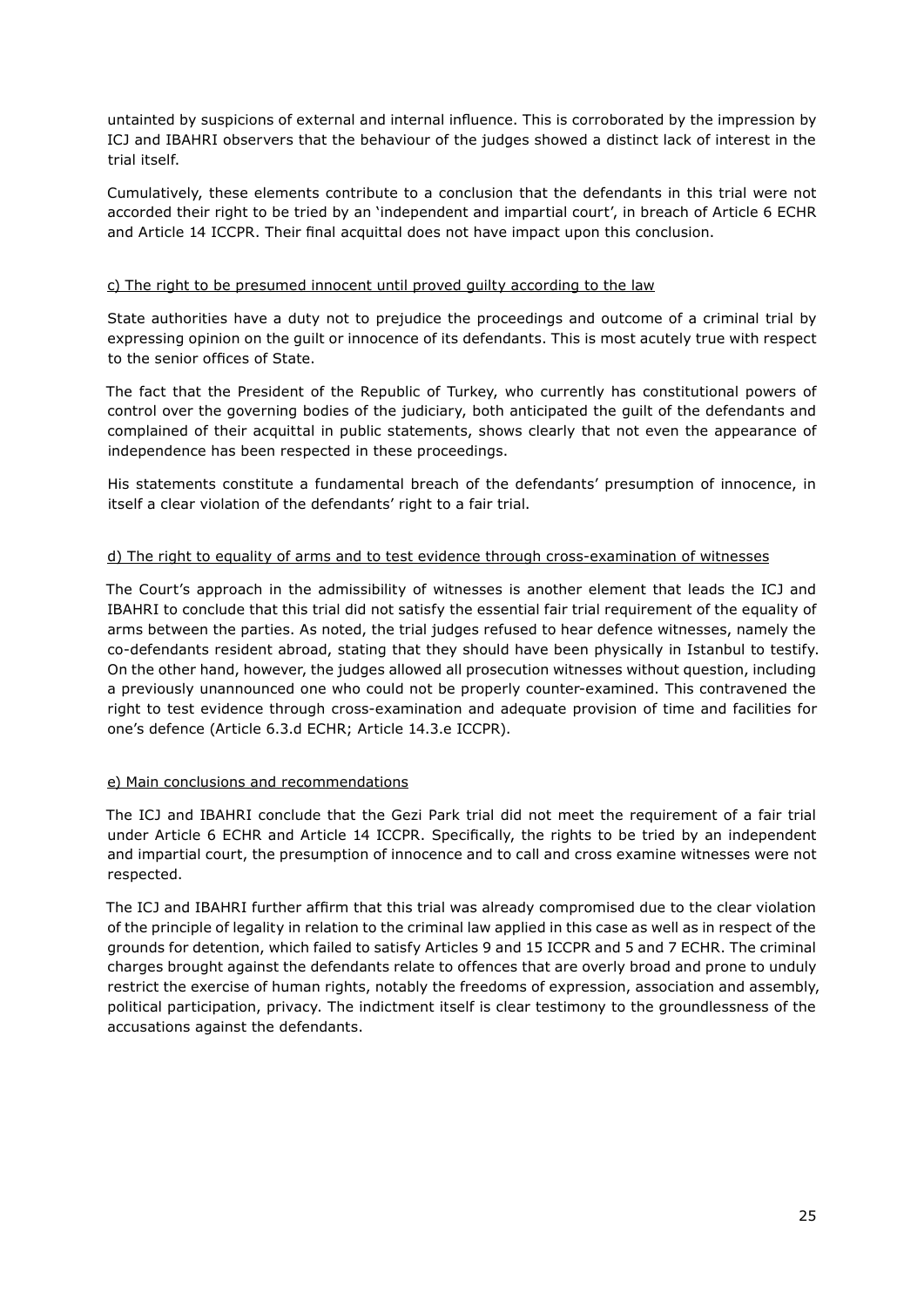untainted by suspicions of external and internal influence. This is corroborated by the impression by ICJ and IBAHRI observers that the behaviour of the judges showed a distinct lack of interest in the trial itself.

Cumulatively, these elements contribute to a conclusion that the defendants in this trial were not accorded their right to be tried by an 'independent and impartial court', in breach of Article 6 ECHR and Article 14 ICCPR. Their final acquittal does not have impact upon this conclusion.

### c) The right to be presumed innocent until proved guilty according to the law

State authorities have a duty not to prejudice the proceedings and outcome of a criminal trial by expressing opinion on the guilt or innocence of its defendants. This is most acutely true with respect to the senior offices of State.

The fact that the President of the Republic of Turkey, who currently has constitutional powers of control over the governing bodies of the judiciary, both anticipated the guilt of the defendants and complained of their acquittal in public statements, shows clearly that not even the appearance of independence has been respected in these proceedings.

His statements constitute a fundamental breach of the defendants' presumption of innocence, in itself a clear violation of the defendants' right to a fair trial.

### d) The right to equality of arms and to test evidence through cross-examination of witnesses

The Court's approach in the admissibility of witnesses is another element that leads the ICJ and IBAHRI to conclude that this trial did not satisfy the essential fair trial requirement of the equality of arms between the parties. As noted, the trial judges refused to hear defence witnesses, namely the co-defendants resident abroad, stating that they should have been physically in Istanbul to testify. On the other hand, however, the judges allowed all prosecution witnesses without question, including a previously unannounced one who could not be properly counter-examined. This contravened the right to test evidence through cross-examination and adequate provision of time and facilities for one's defence (Article 6.3.d ECHR; Article 14.3.e ICCPR).

#### e) Main conclusions and recommendations

The ICJ and IBAHRI conclude that the Gezi Park trial did not meet the requirement of a fair trial under Article 6 ECHR and Article 14 ICCPR. Specifically, the rights to be tried by an independent and impartial court, the presumption of innocence and to call and cross examine witnesses were not respected.

The ICJ and IBAHRI further affirm that this trial was already compromised due to the clear violation of the principle of legality in relation to the criminal law applied in this case as well as in respect of the grounds for detention, which failed to satisfy Articles 9 and 15 ICCPR and 5 and 7 ECHR. The criminal charges brought against the defendants relate to offences that are overly broad and prone to unduly restrict the exercise of human rights, notably the freedoms of expression, association and assembly, political participation, privacy. The indictment itself is clear testimony to the groundlessness of the accusations against the defendants.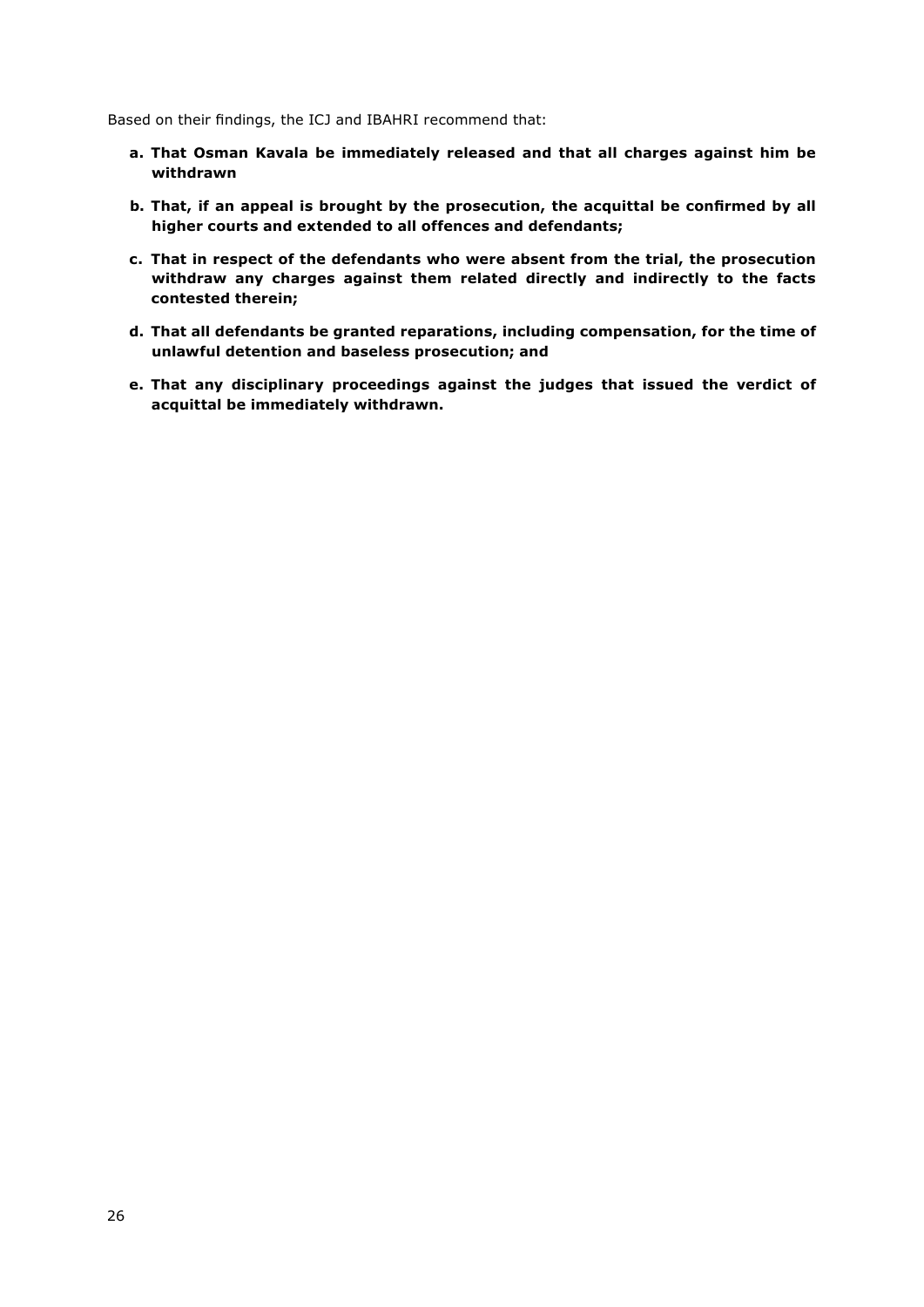Based on their findings, the ICJ and IBAHRI recommend that:

- **a. That Osman Kavala be immediately released and that all charges against him be withdrawn**
- **b. That, if an appeal is brought by the prosecution, the acquittal be confirmed by all higher courts and extended to all offences and defendants;**
- **c. That in respect of the defendants who were absent from the trial, the prosecution withdraw any charges against them related directly and indirectly to the facts contested therein;**
- **d. That all defendants be granted reparations, including compensation, for the time of unlawful detention and baseless prosecution; and**
- **e. That any disciplinary proceedings against the judges that issued the verdict of acquittal be immediately withdrawn.**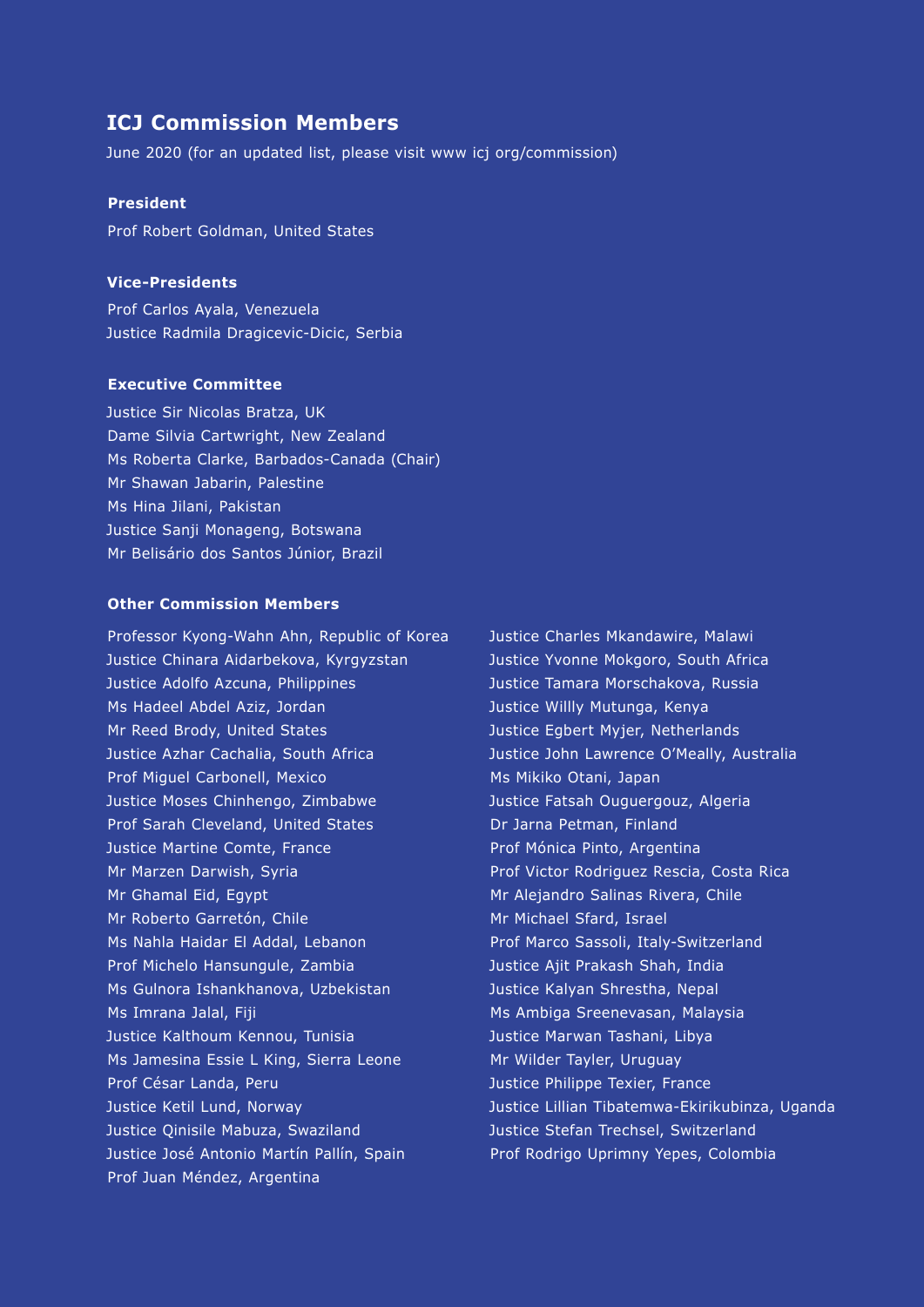### **ICJ Commission Members**

June 2020 (for an updated list, please visit www icj org/commission)

#### **President**

Prof Robert Goldman, United States

#### **Vice-Presidents**

Prof Carlos Ayala, Venezuela Justice Radmila Dragicevic-Dicic, Serbia

#### **Executive Committee**

Justice Sir Nicolas Bratza, UK Dame Silvia Cartwright, New Zealand Ms Roberta Clarke, Barbados-Canada (Chair) Mr Shawan Jabarin, Palestine Ms Hina Jilani, Pakistan Justice Sanji Monageng, Botswana Mr Belisário dos Santos Júnior, Brazil

#### **Other Commission Members**

Professor Kyong-Wahn Ahn, Republic of Korea Justice Chinara Aidarbekova, Kyrgyzstan Justice Adolfo Azcuna, Philippines Ms Hadeel Abdel Aziz, Jordan Mr Reed Brody, United States Justice Azhar Cachalia, South Africa Prof Miguel Carbonell, Mexico Justice Moses Chinhengo, Zimbabwe Prof Sarah Cleveland, United States Justice Martine Comte, France Mr Marzen Darwish, Syria Mr Ghamal Eid, Egypt Mr Roberto Garretón, Chile Ms Nahla Haidar El Addal, Lebanon Prof Michelo Hansungule, Zambia Ms Gulnora Ishankhanova, Uzbekistan Ms Imrana Jalal, Fiji Justice Kalthoum Kennou, Tunisia Ms Jamesina Essie L King, Sierra Leone Prof César Landa, Peru Justice Ketil Lund, Norway Justice Qinisile Mabuza, Swaziland Justice José Antonio Martín Pallín, Spain Prof Juan Méndez, Argentina

Justice Charles Mkandawire, Malawi Justice Yvonne Mokgoro, South Africa Justice Tamara Morschakova, Russia Justice Willly Mutunga, Kenya Justice Egbert Myjer, Netherlands Justice John Lawrence O'Meally, Australia Ms Mikiko Otani, Japan Justice Fatsah Ouguergouz, Algeria Dr Jarna Petman, Finland Prof Mónica Pinto, Argentina Prof Victor Rodriguez Rescia, Costa Rica Mr Alejandro Salinas Rivera, Chile Mr Michael Sfard, Israel Prof Marco Sassoli, Italy-Switzerland Justice Ajit Prakash Shah, India Justice Kalyan Shrestha, Nepal Ms Ambiga Sreenevasan, Malaysia Justice Marwan Tashani, Libya Mr Wilder Tayler, Uruguay Justice Philippe Texier, France Justice Lillian Tibatemwa-Ekirikubinza, Uganda Justice Stefan Trechsel, Switzerland Prof Rodrigo Uprimny Yepes, Colombia